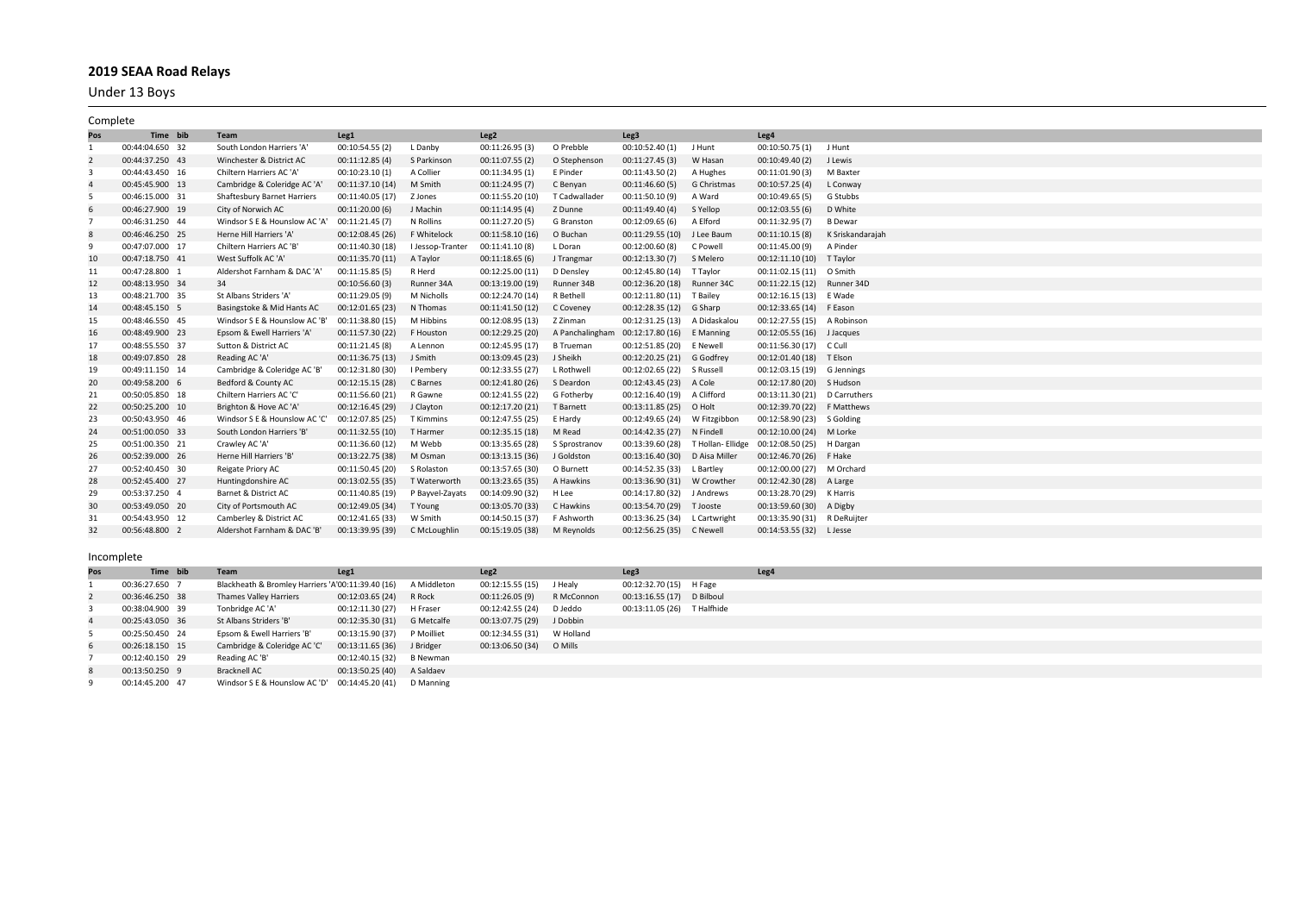Under 13 Boys

| Complete       |                 |                              |                  |                 |                  |                  |                                    |              |                               |                  |
|----------------|-----------------|------------------------------|------------------|-----------------|------------------|------------------|------------------------------------|--------------|-------------------------------|------------------|
| Pos            | Time bib        | Team                         | Leg <sub>1</sub> |                 | Leg <sub>2</sub> |                  | Leg3                               |              | Leg4                          |                  |
| 1              | 00:44:04.650 32 | South London Harriers 'A'    | 00:10:54.55 (2)  | L Danby         | 00:11:26.95(3)   | O Prebble        | 00:10:52.40 (1)                    | J Hunt       | 00:10:50.75 (1)               | J Hunt           |
| $\overline{2}$ | 00:44:37.250 43 | Winchester & District AC     | 00:11:12.85(4)   | S Parkinson     | 00:11:07.55 (2)  | O Stephenson     | 00:11:27.45(3)                     | W Hasan      | 00:10:49.40(2)                | J Lewis          |
| 3              | 00:44:43.450 16 | Chiltern Harriers AC 'A'     | 00:10:23.10 (1)  | A Collier       | 00:11:34.95 (1)  | E Pinder         | 00:11:43.50(2)                     | A Hughes     | 00:11:01.90(3)                | M Baxter         |
| $\overline{4}$ | 00:45:45.900 13 | Cambridge & Coleridge AC 'A  | 00:11:37.10 (14) | M Smith         | 00:11:24.95 (7)  | C Benyan         | 00:11:46.60 (5)                    | G Christmas  | 00:10:57.25 (4)               | L Conway         |
| - 5            | 00:46:15.000 31 | Shaftesbury Barnet Harriers  | 00:11:40.05 (17) | Z Jones         | 00:11:55.20 (10) | T Cadwallader    | 00:11:50.10 (9)                    | A Ward       | 00:10:49.65 (5)               | G Stubbs         |
| 6              | 00:46:27.900 19 | City of Norwich AC           | 00:11:20.00(6)   | J Machin        | 00:11:14.95(4)   | Z Dunne          | 00:11:49.40 (4)                    | S Yellop     | 00:12:03.55(6)                | D White          |
| $\overline{7}$ | 00:46:31.250 44 | Windsor S E & Hounslow AC 'A | 00:11:21.45 (7)  | N Rollins       | 00:11:27.20 (5)  | G Branston       | 00:12:09.65 (6)                    | A Elford     | 00:11:32.95 (7)               | <b>B</b> Dewar   |
| 8              | 00:46:46.250 25 | Herne Hill Harriers 'A'      | 00:12:08.45 (26) | F Whitelock     | 00:11:58.10(16)  | O Buchan         | 00:11:29.55 (10)                   | J Lee Baum   | 00:11:10.15(8)                | K Sriskandarajah |
| 9              | 00:47:07.000 17 | Chiltern Harriers AC 'B'     | 00:11:40.30 (18) | I Jessop-Trante | 00:11:41.10(8)   | L Doran          | 00:12:00.60 (8)                    | C Powell     | 00:11:45.00 (9)               | A Pinder         |
| 10             | 00:47:18.750 41 | West Suffolk AC 'A'          | 00:11:35.70 (11) | A Taylor        | 00:11:18.65(6)   | J Trangmar       | 00:12:13.30(7)                     | S Melero     | 00:12:11.10(10)               | T Taylor         |
| 11             | 00:47:28.800 1  | Aldershot Farnham & DAC 'A   | 00:11:15.85(5)   | R Herd          | 00:12:25.00 (11) | D Densley        | 00:12:45.80 (14)                   | T Taylor     | 00:11:02.15 (11) O Smith      |                  |
| 12             | 00:48:13.950 34 | 34                           | 00:10:56.60 (3)  | Runner 34A      | 00:13:19.00 (19) | Runner 34B       | 00:12:36.20 (18) Runner 34C        |              | 00:11:22.15 (12)              | Runner 34D       |
| 13             | 00:48:21.700 35 | St Albans Striders 'A'       | 00:11:29.05 (9)  | M Nicholls      | 00:12:24.70 (14) | R Bethell        | 00:12:11.80 (11)                   | T Bailev     | 00:12:16.15 (13) E Wade       |                  |
| 14             | 00:48:45.150 5  | Basingstoke & Mid Hants AC   | 00:12:01.65 (23) | N Thomas        | 00:11:41.50 (12) | C Coveney        | 00:12:28.35 (12) G Sharp           |              | 00:12:33.65 (14) F Eason      |                  |
| 15             | 00:48:46.550 45 | Windsor S E & Hounslow AC 'B | 00:11:38.80 (15) | M Hibbins       | 00:12:08.95 (13) | Z Zinman         | 00:12:31.25 (13) A Didaskalou      |              | 00:12:27.55 (15) A Robinson   |                  |
| 16             | 00:48:49.900 23 | Epsom & Ewell Harriers 'A'   | 00:11:57.30 (22) | F Houston       | 00:12:29.25 (20) | A Panchalingham  | 00:12:17.80 (16) E Manning         |              | 00:12:05.55 (16) J Jacques    |                  |
| 17             | 00:48:55.550 37 | Sutton & District AC         | 00:11:21.45 (8)  | A Lennon        | 00:12:45.95 (17) | <b>B</b> Trueman | 00:12:51.85 (20) E Newell          |              | 00:11:56.30 (17) C Cull       |                  |
| 18             | 00:49:07.850 28 | Reading AC 'A'               | 00:11:36.75 (13) | J Smith         | 00:13:09.45 (23) | J Sheikh         | 00:12:20.25 (21) G Godfrey         |              | 00:12:01.40 (18) T Elson      |                  |
| 19             | 00:49:11.150 14 | Cambridge & Coleridge AC 'B' | 00:12:31.80 (30) | I Pembery       | 00:12:33.55 (27) | L Rothwell       | 00:12:02.65 (22) S Russell         |              | 00:12:03.15 (19)              | G Jennings       |
| 20             | 00:49:58.200 6  | Bedford & County AC          | 00:12:15.15 (28) | C Barnes        | 00:12:41.80 (26) | S Deardon        | 00:12:43.45 (23) A Cole            |              | 00:12:17.80 (20) S Hudson     |                  |
| 21             | 00:50:05.850 18 | Chiltern Harriers AC 'C'     | 00:11:56.60 (21) | R Gawne         | 00:12:41.55 (22) | G Fotherby       | 00:12:16.40 (19) A Clifford        |              | 00:13:11.30 (21) D Carruthers |                  |
| 22             | 00:50:25.200 10 | Brighton & Hove AC 'A'       | 00:12:16.45 (29) | J Clayton       | 00:12:17.20 (21) | T Barnett        | 00:13:11.85 (25) O Holt            |              | 00:12:39.70 (22) F Matthews   |                  |
| 23             | 00:50:43.950 46 | Windsor S E & Hounslow AC '0 | 00:12:07.85 (25) | T Kimmins       | 00:12:47.55 (25) | E Hardy          | 00:12:49.65 (24)                   | W Fitzgibbon | 00:12:58.90 (23)              | S Golding        |
| 24             | 00:51:00.050 33 | South London Harriers 'B'    | 00:11:32.55 (10) | T Harmer        | 00:12:35.15 (18) | M Read           | 00:14:42.35 (27) N Findell         |              | 00:12:10.00 (24)              | M Lorke          |
| 25             | 00:51:00.350 21 | Crawley AC 'A'               | 00:11:36.60 (12) | M Webb          | 00:13:35.65 (28) | S Sprostranov    | 00:13:39.60 (28) T Hollan- Ellidge |              | 00:12:08.50 (25)              | H Dargan         |
| 26             | 00:52:39.000 26 | Herne Hill Harriers 'B'      | 00:13:22.75 (38) | M Osman         | 00:13:13.15 (36) | J Goldston       | 00:13:16.40 (30) D Aisa Miller     |              | 00:12:46.70 (26) F Hake       |                  |
| 27             | 00:52:40.450 30 | Reigate Priory AC            | 00:11:50.45 (20) | S Rolaston      | 00:13:57.65 (30) | O Burnett        | 00:14:52.35 (33) L Bartley         |              | 00:12:00.00 (27) M Orchard    |                  |
| 28             | 00:52:45.400 27 | Huntingdonshire AC           | 00:13:02.55 (35) | T Waterworth    | 00:13:23.65 (35) | A Hawkins        | 00:13:36.90 (31) W Crowther        |              | 00:12:42.30 (28) A Large      |                  |
| 29             | 00:53:37.250 4  | Barnet & District AC         | 00:11:40.85 (19) | P Bayvel-Zayats | 00:14:09.90 (32) | H Lee            | 00:14:17.80 (32)                   | J Andrews    | 00:13:28.70 (29)              | K Harris         |
| 30             | 00:53:49.050 20 | City of Portsmouth AC        | 00:12:49.05 (34) | T Young         | 00:13:05.70 (33) | C Hawkins        | 00:13:54.70 (29) T Jooste          |              | 00:13:59.60 (30) A Digby      |                  |
| 31             | 00:54:43.950 12 | Camberley & District AC      | 00:12:41.65 (33) | W Smith         | 00:14:50.15 (37) | F Ashworth       | 00:13:36.25 (34) L Cartwright      |              | 00:13:35.90 (31) R DeRuijter  |                  |
| 32             | 00:56:48.800 2  | Aldershot Farnham & DAC 'B   | 00:13:39.95 (39) | C McLoughlin    | 00:15:19.05 (38) | M Reynolds       | 00:12:56.25 (35) C Newell          |              | 00:14:53.55 (32) L Jesse      |                  |
|                |                 |                              |                  |                 |                  |                  |                                    |              |                               |                  |

| Pos | Time bib        | <b>Team</b>                                              | Leg1             |             | Leg <sub>2</sub>           |            | Leg3                        | Leg4 |
|-----|-----------------|----------------------------------------------------------|------------------|-------------|----------------------------|------------|-----------------------------|------|
|     | 00:36:27.650 7  | Blackheath & Bromley Harriers 'A'00:11:39.40 (16)        |                  | A Middleton | 00:12:15.55 (15)           | J Healy    | 00:12:32.70 (15) H Fage     |      |
|     | 00:36:46.250 38 | <b>Thames Valley Harriers</b>                            | 00:12:03.65 (24) | R Rock      | 00:11:26.05 (9)            | R McConnon | 00:13:16.55 (17) D Bilboul  |      |
|     | 00:38:04.900 39 | Tonbridge AC 'A'                                         | 00:12:11.30 (27) | H Fraser    | 00:12:42.55 (24) D Jeddo   |            | 00:13:11.05 (26) T Halfhide |      |
|     | 00:25:43.050 36 | St Albans Striders 'B'                                   | 00:12:35.30 (31) | G Metcalfe  | 00:13:07.75 (29) J Dobbin  |            |                             |      |
|     | 00:25:50.450 24 | Epsom & Ewell Harriers 'B'                               | 00:13:15.90 (37) | P Moilliet  | 00:12:34.55 (31) W Holland |            |                             |      |
|     | 00:26:18.150 15 | Cambridge & Coleridge AC 'C' 00:13:11.65 (36) J Bridger  |                  |             | 00:13:06.50 (34) O Mills   |            |                             |      |
|     | 00:12:40.150 29 | Reading AC 'B'                                           | 00:12:40.15 (32) | B Newman    |                            |            |                             |      |
|     | 00:13:50.250 9  | Bracknell AC                                             | 00:13:50.25 (40) | A Saldaev   |                            |            |                             |      |
|     | 00:14:45.200 47 | Windsor S E & Hounslow AC 'D' 00:14:45.20 (41) D Manning |                  |             |                            |            |                             |      |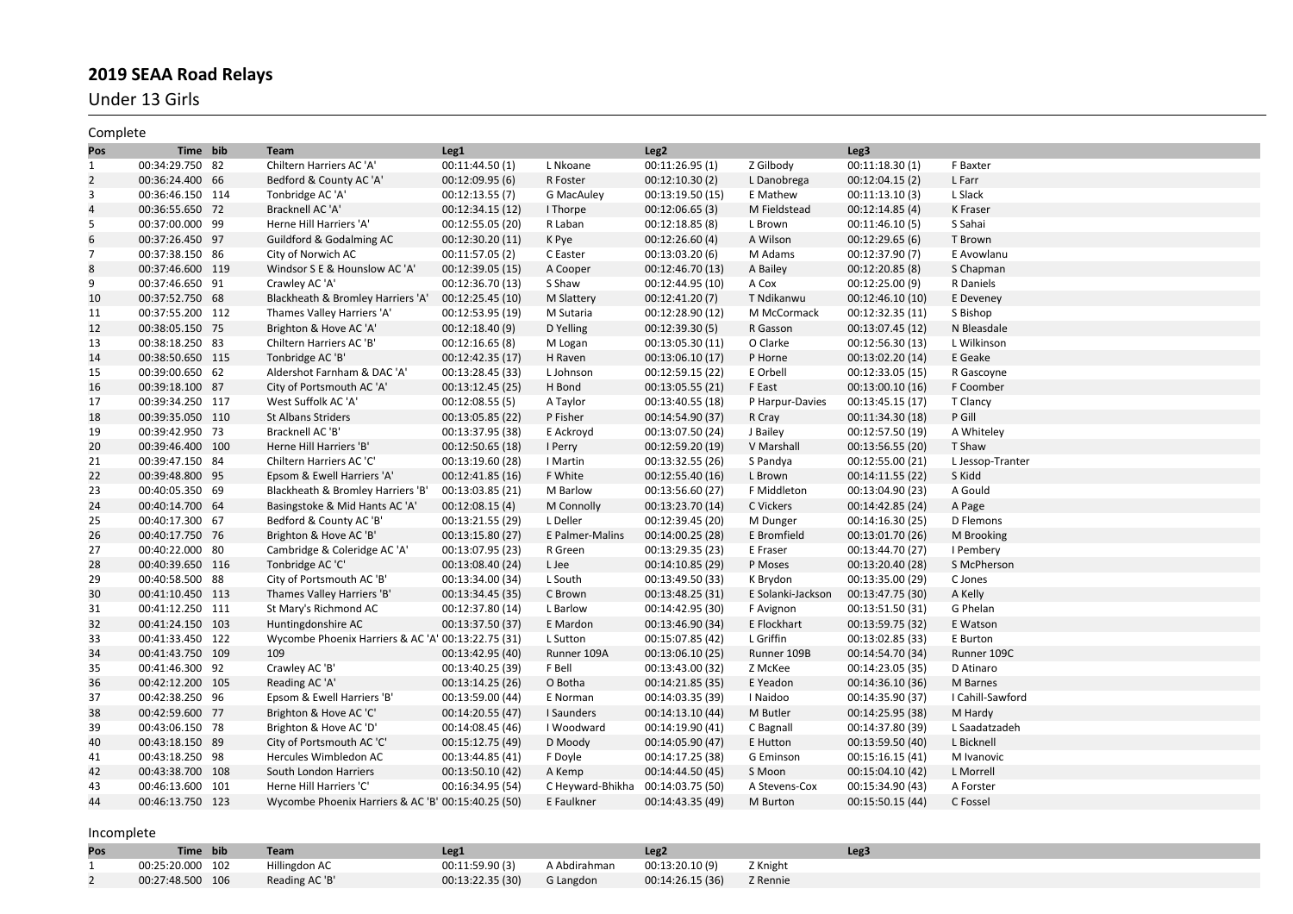Under 13 Girls

| Complete       |                  |                                                    |                  |                  |                  |                   |                  |                  |
|----------------|------------------|----------------------------------------------------|------------------|------------------|------------------|-------------------|------------------|------------------|
| Pos            | Time bib         | <b>Team</b>                                        | Leg1             |                  | Leg <sub>2</sub> |                   | Leg3             |                  |
| $\mathbf{1}$   | 00:34:29.750 82  | Chiltern Harriers AC 'A'                           | 00:11:44.50 (1)  | L Nkoane         | 00:11:26.95(1)   | Z Gilbody         | 00:11:18.30(1)   | F Baxter         |
| $\overline{2}$ | 00:36:24.400 66  | Bedford & County AC 'A'                            | 00:12:09.95 (6)  | R Foster         | 00:12:10.30(2)   | L Danobrega       | 00:12:04.15 (2)  | L Farr           |
| 3              | 00:36:46.150 114 | Tonbridge AC 'A'                                   | 00:12:13.55(7)   | G MacAuley       | 00:13:19.50 (15) | E Mathew          | 00:11:13.10(3)   | L Slack          |
| $\overline{a}$ | 00:36:55.650 72  | Bracknell AC 'A'                                   | 00:12:34.15 (12) | I Thorpe         | 00:12:06.65(3)   | M Fieldstead      | 00:12:14.85(4)   | K Fraser         |
| 5              | 00:37:00.000 99  | Herne Hill Harriers 'A'                            | 00:12:55.05 (20) | R Laban          | 00:12:18.85(8)   | L Brown           | 00:11:46.10(5)   | S Sahai          |
| 6              | 00:37:26.450 97  | Guildford & Godalming AC                           | 00:12:30.20 (11) | K Pye            | 00:12:26.60(4)   | A Wilson          | 00:12:29.65(6)   | T Brown          |
| $\overline{7}$ | 00:37:38.150 86  | City of Norwich AC                                 | 00:11:57.05 (2)  | C Easter         | 00:13:03.20(6)   | M Adams           | 00:12:37.90 (7)  | E Avowlanu       |
| 8              | 00:37:46.600 119 | Windsor S E & Hounslow AC 'A'                      | 00:12:39.05 (15) | A Cooper         | 00:12:46.70 (13) | A Bailey          | 00:12:20.85 (8)  | S Chapman        |
| 9              | 00:37:46.650 91  | Crawley AC 'A'                                     | 00:12:36.70 (13) | S Shaw           | 00:12:44.95 (10) | A Cox             | 00:12:25.00(9)   | R Daniels        |
| 10             | 00:37:52.750 68  | Blackheath & Bromley Harriers 'A'                  | 00:12:25.45 (10) | M Slattery       | 00:12:41.20 (7)  | T Ndikanwu        | 00:12:46.10 (10) | E Deveney        |
| 11             | 00:37:55.200 112 | Thames Valley Harriers 'A'                         | 00:12:53.95 (19) | M Sutaria        | 00:12:28.90 (12) | M McCormack       | 00:12:32.35 (11) | S Bishop         |
| 12             | 00:38:05.150 75  | Brighton & Hove AC 'A'                             | 00:12:18.40 (9)  | D Yelling        | 00:12:39.30 (5)  | R Gasson          | 00:13:07.45 (12) | N Bleasdale      |
| 13             | 00:38:18.250 83  | Chiltern Harriers AC 'B'                           | 00:12:16.65(8)   | M Logan          | 00:13:05.30 (11) | O Clarke          | 00:12:56.30 (13) | L Wilkinson      |
| 14             | 00:38:50.650 115 | Tonbridge AC 'B'                                   | 00:12:42.35 (17) | H Raven          | 00:13:06.10 (17) | P Horne           | 00:13:02.20 (14) | E Geake          |
| 15             | 00:39:00.650 62  | Aldershot Farnham & DAC 'A'                        | 00:13:28.45 (33) | L Johnson        | 00:12:59.15 (22) | E Orbell          | 00:12:33.05 (15) | R Gascoyne       |
| 16             | 00:39:18.100 87  | City of Portsmouth AC 'A'                          | 00:13:12.45(25)  | H Bond           | 00:13:05.55 (21) | F East            | 00:13:00.10 (16) | F Coomber        |
| 17             | 00:39:34.250 117 | West Suffolk AC 'A'                                | 00:12:08.55(5)   | A Taylor         | 00:13:40.55 (18) | P Harpur-Davies   | 00:13:45.15 (17) | T Clancy         |
| 18             | 00:39:35.050 110 | <b>St Albans Striders</b>                          | 00:13:05.85 (22) | P Fisher         | 00:14:54.90 (37) | R Cray            | 00:11:34.30 (18) | P Gill           |
| 19             | 00:39:42.950 73  | Bracknell AC 'B'                                   | 00:13:37.95 (38) | E Ackroyd        | 00:13:07.50 (24) | J Bailey          | 00:12:57.50 (19) | A Whiteley       |
| 20             | 00:39:46.400 100 | Herne Hill Harriers 'B'                            | 00:12:50.65 (18) | I Perry          | 00:12:59.20 (19) | V Marshall        | 00:13:56.55 (20) | T Shaw           |
| 21             | 00:39:47.150 84  | Chiltern Harriers AC 'C'                           | 00:13:19.60 (28) | I Martin         | 00:13:32.55 (26) | S Pandya          | 00:12:55.00 (21) | L Jessop-Tranter |
| 22             | 00:39:48.800 95  | Epsom & Ewell Harriers 'A'                         | 00:12:41.85 (16) | F White          | 00:12:55.40 (16) | L Brown           | 00:14:11.55 (22) | S Kidd           |
| 23             | 00:40:05.350 69  | Blackheath & Bromley Harriers 'B'                  | 00:13:03.85 (21) | M Barlow         | 00:13:56.60 (27) | F Middleton       | 00:13:04.90 (23) | A Gould          |
| 24             | 00:40:14.700 64  | Basingstoke & Mid Hants AC 'A'                     | 00:12:08.15(4)   | M Connolly       | 00:13:23.70 (14) | C Vickers         | 00:14:42.85 (24) | A Page           |
| 25             | 00:40:17.300 67  | Bedford & County AC 'B'                            | 00:13:21.55 (29) | L Deller         | 00:12:39.45 (20) | M Dunger          | 00:14:16.30 (25) | D Flemons        |
| 26             | 00:40:17.750 76  | Brighton & Hove AC 'B'                             | 00:13:15.80 (27) | E Palmer-Malins  | 00:14:00.25 (28) | E Bromfield       | 00:13:01.70 (26) | M Brooking       |
| 27             | 00:40:22.000 80  | Cambridge & Coleridge AC 'A'                       | 00:13:07.95 (23) | R Green          | 00:13:29.35 (23) | E Fraser          | 00:13:44.70 (27) | I Pembery        |
| 28             | 00:40:39.650 116 | Tonbridge AC 'C'                                   | 00:13:08.40 (24) | L Jee            | 00:14:10.85 (29) | P Moses           | 00:13:20.40 (28) | S McPherson      |
| 29             | 00:40:58.500 88  | City of Portsmouth AC 'B'                          | 00:13:34.00 (34) | L South          | 00:13:49.50 (33) | K Brydon          | 00:13:35.00 (29) | C Jones          |
| 30             | 00:41:10.450 113 | Thames Valley Harriers 'B'                         | 00:13:34.45 (35) | C Brown          | 00:13:48.25 (31) | E Solanki-Jackson | 00:13:47.75 (30) | A Kelly          |
| 31             | 00:41:12.250 111 | St Mary's Richmond AC                              | 00:12:37.80 (14) | L Barlow         | 00:14:42.95 (30) | F Avignon         | 00:13:51.50 (31) | G Phelan         |
| 32             | 00:41:24.150 103 | Huntingdonshire AC                                 | 00:13:37.50 (37) | E Mardon         | 00:13:46.90 (34) | E Flockhart       | 00:13:59.75 (32) | E Watson         |
| 33             | 00:41:33.450 122 | Wycombe Phoenix Harriers & AC 'A' 00:13:22.75 (31) |                  | L Sutton         | 00:15:07.85 (42) | L Griffin         | 00:13:02.85 (33) | E Burton         |
| 34             | 00:41:43.750 109 | 109                                                | 00:13:42.95 (40) | Runner 109A      | 00:13:06.10 (25) | Runner 109B       | 00:14:54.70 (34) | Runner 109C      |
| 35             | 00:41:46.300 92  | Crawley AC 'B'                                     | 00:13:40.25 (39) | F Bell           | 00:13:43.00 (32) | Z McKee           | 00:14:23.05 (35) | D Atinaro        |
| 36             | 00:42:12.200 105 | Reading AC 'A'                                     | 00:13:14.25 (26) | O Botha          | 00:14:21.85 (35) | E Yeadon          | 00:14:36.10 (36) | M Barnes         |
| 37             | 00:42:38.250 96  | Epsom & Ewell Harriers 'B'                         | 00:13:59.00 (44) | E Norman         | 00:14:03.35 (39) | I Naidoo          | 00:14:35.90 (37) | I Cahill-Sawford |
| 38             | 00:42:59.600 77  | Brighton & Hove AC 'C'                             | 00:14:20.55 (47) | I Saunders       | 00:14:13.10 (44) | M Butler          | 00:14:25.95 (38) | M Hardy          |
| 39             | 00:43:06.150 78  | Brighton & Hove AC 'D'                             | 00:14:08.45 (46) | I Woodward       | 00:14:19.90 (41) | C Bagnall         | 00:14:37.80 (39) | L Saadatzadeh    |
| 40             | 00:43:18.150 89  | City of Portsmouth AC 'C'                          | 00:15:12.75 (49) | D Moody          | 00:14:05.90 (47) | E Hutton          | 00:13:59.50 (40) | L Bicknell       |
| 41             | 00:43:18.250 98  | Hercules Wimbledon AC                              | 00:13:44.85 (41) | F Doyle          | 00:14:17.25 (38) | G Eminson         | 00:15:16.15 (41) | M Ivanovic       |
| 42             | 00:43:38.700 108 | South London Harriers                              | 00:13:50.10 (42) | A Kemp           | 00:14:44.50 (45) | S Moon            | 00:15:04.10 (42) | L Morrell        |
| 43             | 00:46:13.600 101 | Herne Hill Harriers 'C'                            | 00:16:34.95 (54) | C Heyward-Bhikha | 00:14:03.75 (50) | A Stevens-Cox     | 00:15:34.90 (43) | A Forster        |
| 44             | 00:46:13.750 123 | Wycombe Phoenix Harriers & AC 'B' 00:15:40.25 (50) |                  | E Faulkner       | 00:14:43.35 (49) | M Burton          | 00:15:50.15 (44) | C Fossel         |
|                |                  |                                                    |                  |                  |                  |                   |                  |                  |

| Pos | Time bib         | Team           | Leg1             |                              | Leg <sub>2</sub> |          | Leg <sub>3</sub> |
|-----|------------------|----------------|------------------|------------------------------|------------------|----------|------------------|
|     | 00:25:20.000 102 | Hillingdon AC  | 00:11:59.90 (3)  | A Abdirahman 00:13:20.10 (9) |                  | Z Knight |                  |
|     | 00:27:48.500 106 | Reading AC 'B' | 00:13:22.35 (30) | <b>G</b> Langdon             | 00:14:26.15 (36) | Z Rennie |                  |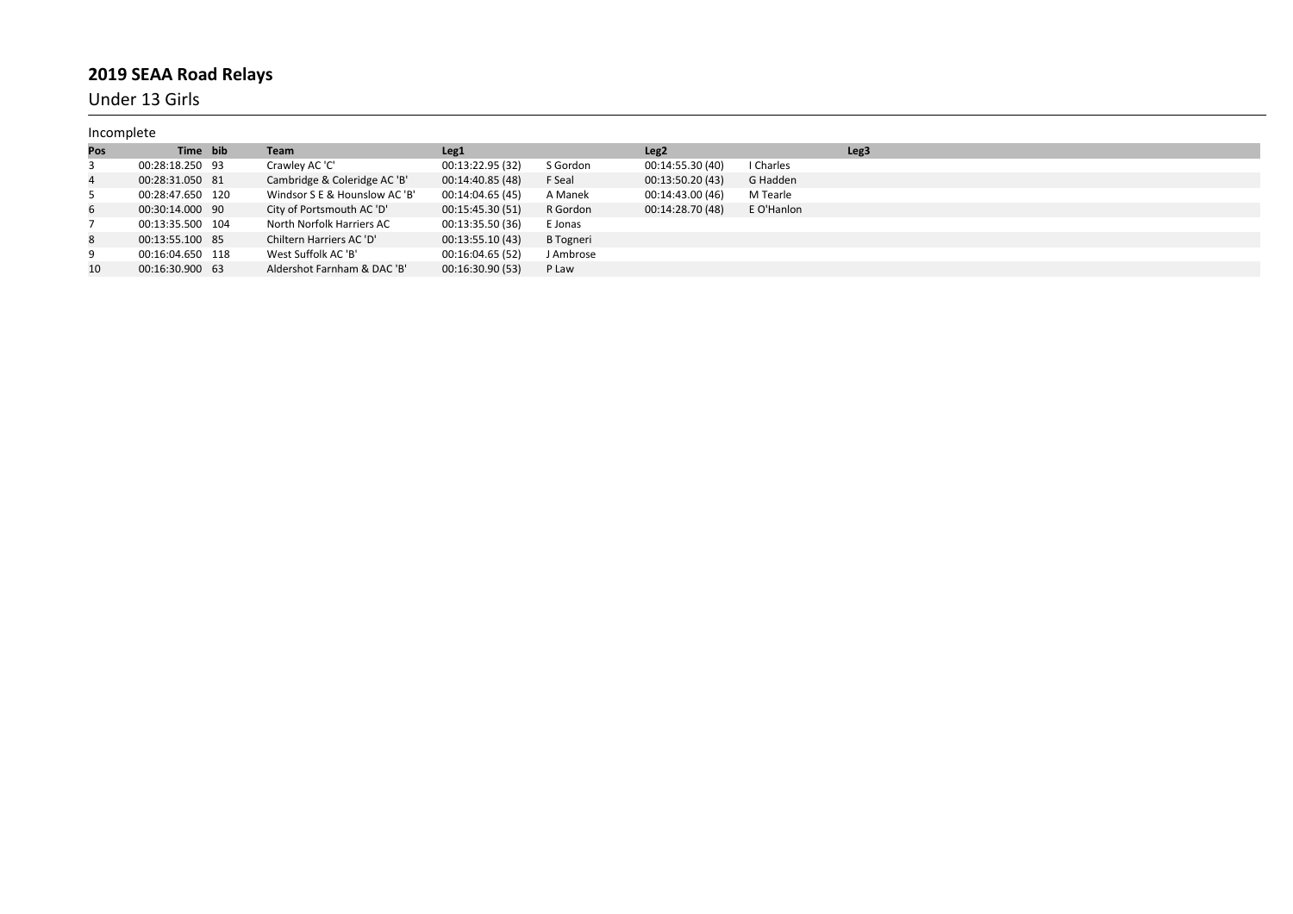Under 13 Girls

| Incomplete |                  |                               |                  |                  |                  |            |                  |
|------------|------------------|-------------------------------|------------------|------------------|------------------|------------|------------------|
| Pos        | Time bib         | Team                          | Leg <sub>1</sub> |                  | Leg <sub>2</sub> |            | Leg <sub>3</sub> |
| 3          | 00:28:18.250 93  | Crawley AC 'C'                | 00:13:22.95 (32) | S Gordon         | 00:14:55.30 (40) | I Charles  |                  |
| 4          | 00:28:31.050 81  | Cambridge & Coleridge AC 'B'  | 00:14:40.85 (48) | F Seal           | 00:13:50.20 (43) | G Hadden   |                  |
| 5          | 00:28:47.650 120 | Windsor S E & Hounslow AC 'B' | 00:14:04.65 (45) | A Manek          | 00:14:43.00 (46) | M Tearle   |                  |
| 6          | 00:30:14.000 90  | City of Portsmouth AC 'D'     | 00:15:45.30 (51) | R Gordon         | 00:14:28.70 (48) | E O'Hanlon |                  |
|            | 00:13:35.500 104 | North Norfolk Harriers AC     | 00:13:35.50 (36) | E Jonas          |                  |            |                  |
| 8          | 00:13:55.100 85  | Chiltern Harriers AC 'D'      | 00:13:55.10 (43) | <b>B</b> Togneri |                  |            |                  |
| 9          | 00:16:04.650 118 | West Suffolk AC 'B'           | 00:16:04.65 (52) | J Ambrose        |                  |            |                  |
| 10         | 00:16:30.900 63  | Aldershot Farnham & DAC 'B'   | 00:16:30.90 (53) | P Law            |                  |            |                  |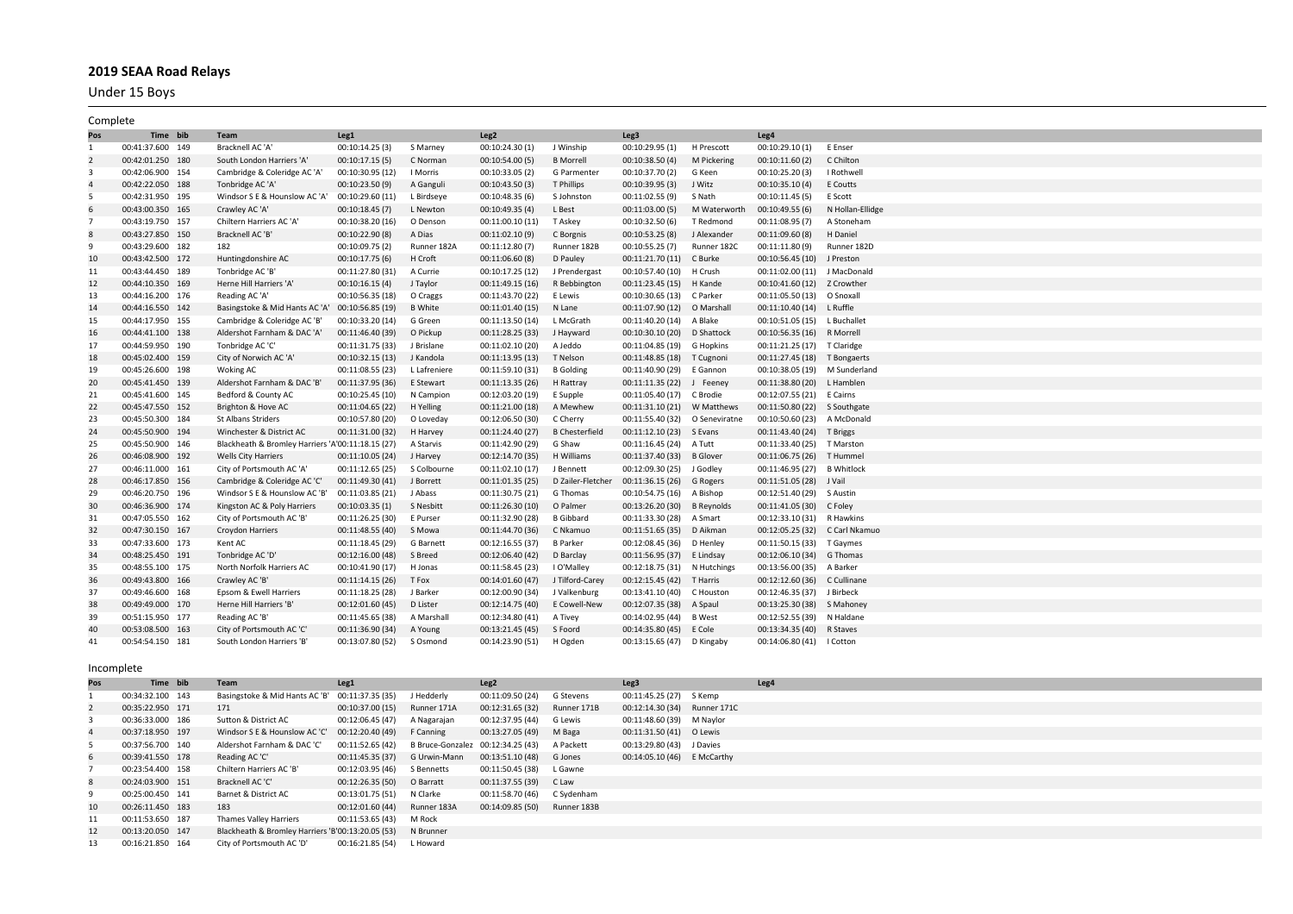Under 15 Boys

| Complete       |                  |                                                   |                  |                  |                  |                       |                                |                   |                               |                  |
|----------------|------------------|---------------------------------------------------|------------------|------------------|------------------|-----------------------|--------------------------------|-------------------|-------------------------------|------------------|
| Pos            | Time bib         | Team                                              | Leg1             |                  | Leg <sub>2</sub> |                       | Leg3                           |                   | Leg <sub>4</sub>              |                  |
| $\mathbf{1}$   | 00:41:37.600 149 | Bracknell AC 'A'                                  | 00:10:14.25(3)   | S Marney         | 00:10:24.30 (1)  | J Winship             | 00:10:29.95(1)                 | H Prescott        | 00:10:29.10(1)                | E Enser          |
| $\overline{2}$ | 00:42:01.250 180 | South London Harriers 'A                          | 00:10:17.15(5)   | C Norman         | 00:10:54.00 (5)  | <b>B</b> Morrell      | 00:10:38.50(4)                 | M Pickering       | 00:10:11.60(2)                | C Chilton        |
| 3              | 00:42:06.900 154 | Cambridge & Coleridge AC 'A'                      | 00:10:30.95 (12) | I Morris         | 00:10:33.05 (2)  | G Parmenter           | 00:10:37.70 (2)                | G Keen            | 00:10:25.20(3)                | I Rothwell       |
| $\overline{a}$ | 00:42:22.050 188 | Tonbridge AC 'A'                                  | 00:10:23.50 (9)  | A Ganguli        | 00:10:43.50 (3)  | T Phillips            | 00:10:39.95(3)                 | J Witz            | 00:10:35.10(4)                | E Coutts         |
| - 5            | 00:42:31.950 195 | Windsor S E & Hounslow AC 'A'                     | 00:10:29.60 (11) | L Birdseye       | 00:10:48.35 (6)  | S Johnston            | 00:11:02.55 (9)                | S Nath            | 00:10:11.45(5)                | E Scott          |
| 6              | 00:43:00.350 165 | Crawley AC 'A'                                    | 00:10:18.45(7)   | L Newton         | 00:10:49.35 (4)  | L Best                | 00:11:03.00(5)                 | M Waterworth      | 00:10:49.55(6)                | N Hollan-Ellidge |
| $\overline{7}$ | 00:43:19.750 157 | Chiltern Harriers AC 'A'                          | 00:10:38.20 (16) | O Denson         | 00:11:00.10 (11) | T Askey               | 00:10:32.50(6)                 | T Redmond         | 00:11:08.95 (7)               | A Stoneham       |
| 8              | 00:43:27.850 150 | Bracknell AC 'B'                                  | 00:10:22.90 (8)  | A Dias           | 00:11:02.10 (9)  | C Borgnis             | 00:10:53.25 (8)                | J Alexander       | 00:11:09.60 (8)               | H Daniel         |
| 9              | 00:43:29.600 182 | 182                                               | 00:10:09.75 (2)  | Runner 182A      | 00:11:12.80(7)   | Runner 182B           | 00:10:55.25 (7)                | Runner 182C       | 00:11:11.80 (9)               | Runner 182D      |
| 10             | 00:43:42.500 172 | Huntingdonshire AC                                | 00:10:17.75(6)   | H Croft          | 00:11:06.60 (8)  | D Pauley              | 00:11:21.70(11)                | C Burke           | 00:10:56.45 (10) J Preston    |                  |
| 11             | 00:43:44.450 189 | Tonbridge AC 'B'                                  | 00:11:27.80 (31) | A Currie         | 00:10:17.25 (12) | J Prendergast         | 00:10:57.40 (10)               | H Crush           | 00:11:02.00 (11)              | J MacDonald      |
| 12             | 00:44:10.350 169 | Herne Hill Harriers 'A'                           | 00:10:16.15(4)   | J Taylor         | 00:11:49.15 (16) | R Bebbington          | 00:11:23.45 (15) H Kande       |                   | 00:10:41.60 (12) Z Crowther   |                  |
| 13             | 00:44:16.200 176 | Reading AC 'A'                                    | 00:10:56.35 (18) | O Craggs         | 00:11:43.70 (22) | E Lewis               | 00:10:30.65 (13) C Parker      |                   | 00:11:05.50 (13) O Snoxall    |                  |
| 14             | 00:44:16.550 142 | Basingstoke & Mid Hants AC 'A'                    | 00:10:56.85 (19) | <b>B</b> White   | 00:11:01.40 (15) | N Lane                | 00:11:07.90 (12) O Marshall    |                   | 00:11:10.40 (14) L Ruffle     |                  |
| 15             | 00:44:17.950 155 | Cambridge & Coleridge AC 'B'                      | 00:10:33.20 (14) | G Green          | 00:11:13.50 (14) | L McGrath             | 00:11:40.20 (14) A Blake       |                   | 00:10:51.05 (15) L Buchallet  |                  |
| 16             | 00:44:41.100 138 | Aldershot Farnham & DAC 'A'                       | 00:11:46.40 (39) | O Pickup         | 00:11:28.25 (33) | J Hayward             | 00:10:30.10 (20) D Shattock    |                   | 00:10:56.35 (16) R Morrell    |                  |
| 17             | 00:44:59.950 190 | Tonbridge AC 'C'                                  | 00:11:31.75 (33) | J Brislane       | 00:11:02.10 (20) | A Jeddo               | 00:11:04.85 (19) G Hopkins     |                   | 00:11:21.25 (17) T Claridge   |                  |
| 18             | 00:45:02.400 159 | City of Norwich AC 'A'                            | 00:10:32.15 (13) | J Kandola        | 00:11:13.95(13)  | T Nelson              | 00:11:48.85 (18)               | T Cugnoni         | 00:11:27.45 (18) T Bongaerts  |                  |
| 19             | 00:45:26.600 198 | <b>Woking AC</b>                                  | 00:11:08.55 (23) | L Lafreniere     | 00:11:59.10 (31) | <b>B</b> Golding      | 00:11:40.90 (29) E Gannon      |                   | 00:10:38.05 (19) M Sunderland |                  |
| 20             | 00:45:41.450 139 | Aldershot Farnham & DAC 'B'                       | 00:11:37.95 (36) | E Stewart        | 00:11:13.35(26)  | H Rattray             | 00:11:11.35 (22) J Feeney      |                   | 00:11:38.80 (20) L Hamblen    |                  |
| 21             | 00:45:41.600 145 | Bedford & County AC                               | 00:10:25.45 (10) | N Campion        | 00:12:03.20 (19) | E Supple              | 00:11:05.40 (17) C Brodie      |                   | 00:12:07.55 (21) E Cairns     |                  |
| 22             | 00:45:47.550 152 | Brighton & Hove AC                                | 00:11:04.65 (22) | H Yelling        | 00:11:21.00 (18) | A Mewhew              | 00:11:31.10 (21) W Matthews    |                   | 00:11:50.80 (22) S Southgate  |                  |
| 23             | 00:45:50.300 184 | <b>St Albans Striders</b>                         | 00:10:57.80 (20) | O Loveday        | 00:12:06.50 (30) | C Cherry              | 00:11:55.40 (32) O Seneviratne |                   | 00:10:50.60 (23)              | A McDonald       |
| 24             | 00:45:50.900 194 | Winchester & District AC                          | 00:11:31.00 (32) | H Harvey         | 00:11:24.40 (27) | <b>B</b> Chesterfield | 00:11:12.10 (23) S Evans       |                   | 00:11:43.40 (24) T Briggs     |                  |
| 25             | 00:45:50.900 146 | Blackheath & Bromley Harriers 'A'00:11:18.15 (27) |                  | A Starvis        | 00:11:42.90 (29) | G Shaw                | 00:11:16.45 (24) A Tutt        |                   | 00:11:33.40 (25) T Marston    |                  |
| 26             | 00:46:08.900 192 | <b>Wells City Harriers</b>                        | 00:11:10.05 (24) | J Harvey         | 00:12:14.70 (35) | H Williams            | 00:11:37.40 (33)               | <b>B</b> Glover   | 00:11:06.75 (26)              | T Hummel         |
| 27             | 00:46:11.000 161 | City of Portsmouth AC 'A'                         | 00:11:12.65 (25) | S Colbourne      | 00:11:02.10 (17) | J Bennett             | 00:12:09.30 (25) J Godley      |                   | 00:11:46.95 (27) B Whitlock   |                  |
| 28             | 00:46:17.850 156 | Cambridge & Coleridge AC 'C                       | 00:11:49.30 (41) | J Borrett        | 00:11:01.35 (25) | D Zailer-Fletcher     | 00:11:36.15 (26)               | G Rogers          | 00:11:51.05 (28) J Vail       |                  |
| 29             | 00:46:20.750 196 | Windsor S E & Hounslow AC 'B'                     | 00:11:03.85 (21) | J Abass          | 00:11:30.75 (21) | G Thomas              | 00:10:54.75 (16)               | A Bishop          | 00:12:51.40 (29) S Austin     |                  |
| 30             | 00:46:36.900 174 | Kingston AC & Poly Harriers                       | 00:10:03.35(1)   | S Nesbitt        | 00:11:26.30 (10) | O Palmer              | 00:13:26.20 (30)               | <b>B</b> Reynolds | 00:11:41.05 (30)              | C Foley          |
| 31             | 00:47:05.550 162 | City of Portsmouth AC 'B'                         | 00:11:26.25 (30) | E Purser         | 00:11:32.90 (28) | <b>B</b> Gibbard      | 00:11:33.30 (28) A Smart       |                   | 00:12:33.10 (31) R Hawkins    |                  |
| 32             | 00:47:30.150 167 | <b>Croydon Harriers</b>                           | 00:11:48.55 (40) | S Mowa           | 00:11:44.70 (36) | C Nkamuo              | 00:11:51.65 (35)               | D Aikman          | 00:12:05.25 (32)              | C Carl Nkamuo    |
| 33             | 00:47:33.600 173 | Kent AC                                           | 00:11:18.45 (29) | <b>G</b> Barnett | 00:12:16.55 (37) | <b>B</b> Parker       | 00:12:08.45 (36)               | D Henley          | 00:11:50.15 (33) T Gaymes     |                  |
| 34             | 00:48:25.450 191 | Tonbridge AC 'D'                                  | 00:12:16.00(48)  | S Breed          | 00:12:06.40 (42) | D Barclay             | 00:11:56.95 (37)               | E Lindsay         | 00:12:06.10 (34)              | G Thomas         |
| 35             | 00:48:55.100 175 | North Norfolk Harriers AC                         | 00:10:41.90 (17) | H Jonas          | 00:11:58.45 (23) | I O'Malley            | 00:12:18.75 (31) N Hutchings   |                   | 00:13:56.00 (35) A Barker     |                  |
| 36             | 00:49:43.800 166 | Crawley AC 'B'                                    | 00:11:14.15 (26) | T Fox            | 00:14:01.60 (47) | J Tilford-Carey       | 00:12:15.45 (42) T Harris      |                   | 00:12:12.60 (36)              | C Cullinane      |
| 37             | 00:49:46.600 168 | Epsom & Ewell Harriers                            | 00:11:18.25 (28) | J Barker         | 00:12:00.90 (34) | J Valkenburg          | 00:13:41.10 (40) C Houston     |                   | 00:12:46.35 (37) J Birbeck    |                  |
| 38             | 00:49:49.000 170 | Herne Hill Harriers 'B'                           | 00:12:01.60 (45) | D Lister         | 00:12:14.75 (40) | E Cowell-New          | 00:12:07.35 (38) A Spaul       |                   | 00:13:25.30 (38) S Mahoney    |                  |
| 39             | 00:51:15.950 177 | Reading AC 'B'                                    | 00:11:45.65 (38) | A Marshall       | 00:12:34.80 (41) | A Tivey               | 00:14:02.95 (44) B West        |                   | 00:12:52.55 (39) N Haldane    |                  |
| 40             | 00:53:08.500 163 | City of Portsmouth AC 'C'                         | 00:11:36.90 (34) | A Young          | 00:13:21.45 (45) | S Foord               | 00:14:35.80 (45) E Cole        |                   | 00:13:34.35 (40) R Staves     |                  |
| 41             | 00:54:54.150 181 | South London Harriers 'B'                         | 00:13:07.80 (52) | S Osmond         | 00:14:23.90 (51) | H Ogden               | 00:13:15.65 (47) D Kingaby     |                   | 00:14:06.80 (41)   Cotton     |                  |

| Pos            | Time bib         | Team                                                        | Leg1                                                         |            | Leg <sub>2</sub>             |           | Leg <sub>3</sub>             | Leg4 |  |  |  |
|----------------|------------------|-------------------------------------------------------------|--------------------------------------------------------------|------------|------------------------------|-----------|------------------------------|------|--|--|--|
|                | 00:34:32.100 143 | Basingstoke & Mid Hants AC 'B' 00:11:37.35 (35)             |                                                              | J Hedderly | 00:11:09.50 (24)             | G Stevens | 00:11:45.25 (27) S Kemp      |      |  |  |  |
| 2              | 00:35:22.950 171 | 171                                                         | 00:10:37.00 (15) Runner 171A                                 |            | 00:12:31.65 (32) Runner 171B |           | 00:12:14.30 (34) Runner 171C |      |  |  |  |
| 3              | 00:36:33.000 186 | Sutton & District AC                                        | 00:12:06.45 (47) A Nagarajan                                 |            | 00:12:37.95 (44) G Lewis     |           | 00:11:48.60 (39) M Naylor    |      |  |  |  |
| $\overline{4}$ | 00:37:18.950 197 | Windsor S E & Hounslow AC 'C' 00:12:20.40 (49) F Canning    |                                                              |            | 00:13:27.05 (49) M Baga      |           | 00:11:31.50 (41) O Lewis     |      |  |  |  |
|                | 00:37:56.700 140 | Aldershot Farnham & DAC 'C'                                 | 00:11:52.65 (42) B Bruce-Gonzalez 00:12:34.25 (43) A Packett |            |                              |           | 00:13:29.80 (43) J Davies    |      |  |  |  |
| 6              | 00:39:41.550 178 | Reading AC 'C'                                              | 00:11:45.35 (37) G Urwin-Mann                                |            | 00:13:51.10 (48) G Jones     |           | 00:14:05.10 (46) E McCarthy  |      |  |  |  |
|                | 00:23:54.400 158 | Chiltern Harriers AC 'B'                                    | 00:12:03.95 (46) S Bennetts                                  |            | 00:11:50.45 (38) L Gawne     |           |                              |      |  |  |  |
| 8              | 00:24:03.900 151 | Bracknell AC 'C'                                            | 00:12:26.35 (50) O Barratt                                   |            | 00:11:37.55 (39) C Law       |           |                              |      |  |  |  |
| 9              | 00:25:00.450 141 | Barnet & District AC                                        | 00:13:01.75 (51) N Clarke                                    |            | 00:11:58.70 (46) C Sydenham  |           |                              |      |  |  |  |
| 10             | 00:26:11.450 183 | 183                                                         | 00:12:01.60 (44) Runner 183A                                 |            | 00:14:09.85 (50) Runner 183B |           |                              |      |  |  |  |
| 11             | 00:11:53.650 187 | <b>Thames Valley Harriers</b>                               | 00:11:53.65 (43) M Rock                                      |            |                              |           |                              |      |  |  |  |
| 12             | 00:13:20.050 147 | Blackheath & Bromley Harriers 'B'00:13:20.05 (53) N Brunner |                                                              |            |                              |           |                              |      |  |  |  |
| 13             | 00:16:21.850 164 | City of Portsmouth AC 'D'                                   | 00:16:21.85 (54) L Howard                                    |            |                              |           |                              |      |  |  |  |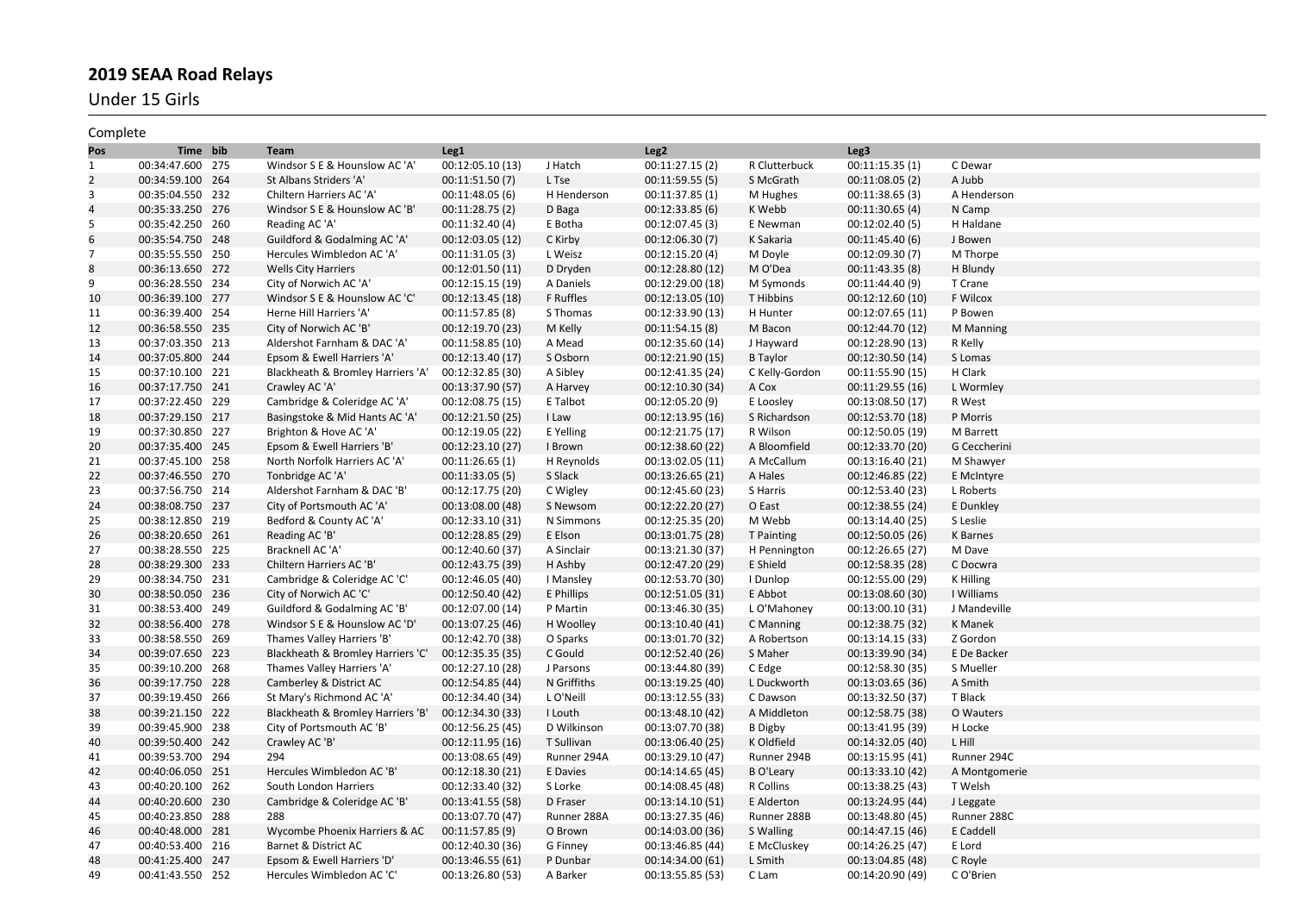Under 15 Girls

| Complete       |                  |                                   |                  |             |                  |                  |                  |               |
|----------------|------------------|-----------------------------------|------------------|-------------|------------------|------------------|------------------|---------------|
| Pos            | Time bib         | Team                              | Leg1             |             | Leg <sub>2</sub> |                  | Leg3             |               |
| $\mathbf{1}$   | 00:34:47.600 275 | Windsor S E & Hounslow AC 'A'     | 00:12:05.10 (13) | J Hatch     | 00:11:27.15 (2)  | R Clutterbuck    | 00:11:15.35(1)   | C Dewar       |
| $\overline{2}$ | 00:34:59.100 264 | St Albans Striders 'A'            | 00:11:51.50 (7)  | L Tse       | 00:11:59.55(5)   | S McGrath        | 00:11:08.05 (2)  | A Jubb        |
| 3              | 00:35:04.550 232 | Chiltern Harriers AC 'A'          | 00:11:48.05(6)   | H Henderson | 00:11:37.85 (1)  | M Hughes         | 00:11:38.65(3)   | A Henderson   |
| 4              | 00:35:33.250 276 | Windsor S E & Hounslow AC 'B      | 00:11:28.75(2)   | D Baga      | 00:12:33.85(6)   | K Webb           | 00:11:30.65(4)   | N Camp        |
| 5              | 00:35:42.250 260 | Reading AC 'A'                    | 00:11:32.40 (4)  | E Botha     | 00:12:07.45 (3)  | E Newman         | 00:12:02.40 (5)  | H Haldane     |
| 6              | 00:35:54.750 248 | Guildford & Godalming AC 'A'      | 00:12:03.05 (12) | C Kirby     | 00:12:06.30 (7)  | K Sakaria        | 00:11:45.40 (6)  | J Bowen       |
| 7              | 00:35:55.550 250 | Hercules Wimbledon AC 'A'         | 00:11:31.05 (3)  | L Weisz     | 00:12:15.20(4)   | M Doyle          | 00:12:09.30 (7)  | M Thorpe      |
| 8              | 00:36:13.650 272 | <b>Wells City Harriers</b>        | 00:12:01.50 (11) | D Dryden    | 00:12:28.80 (12) | M O'Dea          | 00:11:43.35 (8)  | H Blundy      |
| 9              | 00:36:28.550 234 | City of Norwich AC 'A'            | 00:12:15.15 (19) | A Daniels   | 00:12:29.00 (18) | M Symonds        | 00:11:44.40 (9)  | T Crane       |
| 10             | 00:36:39.100 277 | Windsor S E & Hounslow AC 'C'     | 00:12:13.45 (18) | F Ruffles   | 00:12:13.05 (10) | T Hibbins        | 00:12:12.60 (10) | F Wilcox      |
| 11             | 00:36:39.400 254 | Herne Hill Harriers 'A'           | 00:11:57.85 (8)  | S Thomas    | 00:12:33.90 (13) | H Hunter         | 00:12:07.65 (11) | P Bowen       |
| 12             | 00:36:58.550 235 | City of Norwich AC 'B'            | 00:12:19.70 (23) | M Kelly     | 00:11:54.15(8)   | M Bacon          | 00:12:44.70 (12) | M Manning     |
| 13             | 00:37:03.350 213 | Aldershot Farnham & DAC 'A'       | 00:11:58.85 (10) | A Mead      | 00:12:35.60 (14) | J Hayward        | 00:12:28.90 (13) | R Kelly       |
| 14             | 00:37:05.800 244 | Epsom & Ewell Harriers 'A'        | 00:12:13.40 (17) | S Osborn    | 00:12:21.90 (15) | <b>B</b> Taylor  | 00:12:30.50 (14) | S Lomas       |
| 15             | 00:37:10.100 221 | Blackheath & Bromley Harriers 'A' | 00:12:32.85 (30) | A Sibley    | 00:12:41.35 (24) | C Kelly-Gordon   | 00:11:55.90 (15) | H Clark       |
| 16             | 00:37:17.750 241 | Crawley AC 'A'                    | 00:13:37.90 (57) | A Harvey    | 00:12:10.30 (34) | A Cox            | 00:11:29.55 (16) | L Wormley     |
| 17             | 00:37:22.450 229 | Cambridge & Coleridge AC 'A'      | 00:12:08.75 (15) | E Talbot    | 00:12:05.20 (9)  | E Loosley        | 00:13:08.50 (17) | R West        |
| 18             | 00:37:29.150 217 | Basingstoke & Mid Hants AC 'A'    | 00:12:21.50 (25) | I Law       | 00:12:13.95 (16) | S Richardson     | 00:12:53.70 (18) | P Morris      |
| 19             | 00:37:30.850 227 | Brighton & Hove AC 'A'            | 00:12:19.05 (22) | E Yelling   | 00:12:21.75 (17) | R Wilson         | 00:12:50.05 (19) | M Barrett     |
| 20             | 00:37:35.400 245 | Epsom & Ewell Harriers 'B'        | 00:12:23.10 (27) | I Brown     | 00:12:38.60 (22) | A Bloomfield     | 00:12:33.70 (20) | G Ceccherini  |
| 21             | 00:37:45.100 258 | North Norfolk Harriers AC 'A'     | 00:11:26.65(1)   | H Reynolds  | 00:13:02.05 (11) | A McCallum       | 00:13:16.40 (21) | M Shawyer     |
| 22             | 00:37:46.550 270 | Tonbridge AC 'A'                  | 00:11:33.05(5)   | S Slack     | 00:13:26.65 (21) | A Hales          | 00:12:46.85 (22) | E McIntyre    |
| 23             | 00:37:56.750 214 | Aldershot Farnham & DAC 'B'       | 00:12:17.75 (20) | C Wigley    | 00:12:45.60 (23) | S Harris         | 00:12:53.40 (23) | L Roberts     |
| 24             | 00:38:08.750 237 | City of Portsmouth AC 'A'         | 00:13:08.00 (48) | S Newsom    | 00:12:22.20 (27) | O East           | 00:12:38.55 (24) | E Dunkley     |
| 25             | 00:38:12.850 219 | Bedford & County AC 'A'           | 00:12:33.10 (31) | N Simmons   | 00:12:25.35 (20) | M Webb           | 00:13:14.40 (25) | S Leslie      |
| 26             | 00:38:20.650 261 | Reading AC 'B'                    | 00:12:28.85 (29) | E Elson     | 00:13:01.75 (28) | T Painting       | 00:12:50.05 (26) | K Barnes      |
| 27             | 00:38:28.550 225 | Bracknell AC 'A'                  | 00:12:40.60 (37) | A Sinclair  | 00:13:21.30 (37) | H Pennington     | 00:12:26.65 (27) | M Dave        |
| 28             | 00:38:29.300 233 | Chiltern Harriers AC 'B'          | 00:12:43.75 (39) | H Ashby     | 00:12:47.20 (29) | E Shield         | 00:12:58.35 (28) | C Docwra      |
| 29             | 00:38:34.750 231 | Cambridge & Coleridge AC 'C'      | 00:12:46.05 (40) | I Mansley   | 00:12:53.70 (30) | I Dunlop         | 00:12:55.00 (29) | K Hilling     |
| 30             | 00:38:50.050 236 | City of Norwich AC 'C'            | 00:12:50.40 (42) | E Phillips  | 00:12:51.05 (31) | E Abbot          | 00:13:08.60 (30) | I Williams    |
| 31             | 00:38:53.400 249 | Guildford & Godalming AC 'B'      | 00:12:07.00 (14) | P Martin    | 00:13:46.30 (35) | L O'Mahoney      | 00:13:00.10 (31) | J Mandeville  |
| 32             | 00:38:56.400 278 | Windsor S E & Hounslow AC 'D'     | 00:13:07.25 (46) | H Woolley   | 00:13:10.40 (41) | C Manning        | 00:12:38.75 (32) | K Manek       |
| 33             | 00:38:58.550 269 | Thames Valley Harriers 'B'        | 00:12:42.70 (38) | O Sparks    | 00:13:01.70 (32) | A Robertson      | 00:13:14.15 (33) | Z Gordon      |
| 34             | 00:39:07.650 223 | Blackheath & Bromley Harriers 'C' | 00:12:35.35 (35) | C Gould     | 00:12:52.40 (26) | S Maher          | 00:13:39.90 (34) | E De Backer   |
| 35             | 00:39:10.200 268 | Thames Valley Harriers 'A'        | 00:12:27.10 (28) | J Parsons   | 00:13:44.80 (39) | C Edge           | 00:12:58.30 (35) | S Mueller     |
| 36             | 00:39:17.750 228 | Camberley & District AC           | 00:12:54.85 (44) | N Griffiths | 00:13:19.25 (40) | L Duckworth      | 00:13:03.65 (36) | A Smith       |
| 37             | 00:39:19.450 266 | St Mary's Richmond AC 'A'         | 00:12:34.40 (34) | L O'Neill   | 00:13:12.55 (33) | C Dawson         | 00:13:32.50 (37) | T Black       |
| 38             | 00:39:21.150 222 | Blackheath & Bromley Harriers 'B' | 00:12:34.30 (33) | I Louth     | 00:13:48.10 (42) | A Middleton      | 00:12:58.75 (38) | O Wauters     |
| 39             | 00:39:45.900 238 | City of Portsmouth AC 'B'         | 00:12:56.25 (45) | D Wilkinson | 00:13:07.70 (38) | <b>B</b> Digby   | 00:13:41.95 (39) | H Locke       |
| 40             | 00:39:50.400 242 | Crawley AC 'B'                    | 00:12:11.95 (16) | T Sullivan  | 00:13:06.40 (25) | K Oldfield       | 00:14:32.05 (40) | L Hill        |
| 41             | 00:39:53.700 294 | 294                               | 00:13:08.65 (49) | Runner 294A | 00:13:29.10 (47) | Runner 294B      | 00:13:15.95 (41) | Runner 294C   |
| 42             | 00:40:06.050 251 | Hercules Wimbledon AC 'B'         | 00:12:18.30 (21) | E Davies    | 00:14:14.65 (45) | <b>B</b> O'Leary | 00:13:33.10 (42) | A Montgomerie |
| 43             | 00:40:20.100 262 | South London Harriers             | 00:12:33.40 (32) | S Lorke     | 00:14:08.45 (48) | R Collins        | 00:13:38.25 (43) | T Welsh       |
| 44             | 00:40:20.600 230 | Cambridge & Coleridge AC 'B'      | 00:13:41.55 (58) | D Fraser    | 00:13:14.10 (51) | E Alderton       | 00:13:24.95 (44) | J Leggate     |
| 45             | 00:40:23.850 288 | 288                               | 00:13:07.70 (47) | Runner 288A | 00:13:27.35 (46) | Runner 288B      | 00:13:48.80 (45) | Runner 288C   |
| 46             | 00:40:48.000 281 | Wycombe Phoenix Harriers & AC     | 00:11:57.85(9)   | O Brown     | 00:14:03.00 (36) | S Walling        | 00:14:47.15 (46) | E Caddell     |
| 47             | 00:40:53.400 216 | Barnet & District AC              | 00:12:40.30 (36) | G Finney    | 00:13:46.85 (44) | E McCluskey      | 00:14:26.25 (47) | E Lord        |
| 48             | 00:41:25.400 247 | Epsom & Ewell Harriers 'D'        | 00:13:46.55 (61) | P Dunbar    | 00:14:34.00 (61) | L Smith          | 00:13:04.85 (48) | C Royle       |
| 49             | 00:41:43.550 252 | Hercules Wimbledon AC 'C'         | 00:13:26.80 (53) | A Barker    | 00:13:55.85 (53) | C Lam            | 00:14:20.90 (49) | C O'Brien     |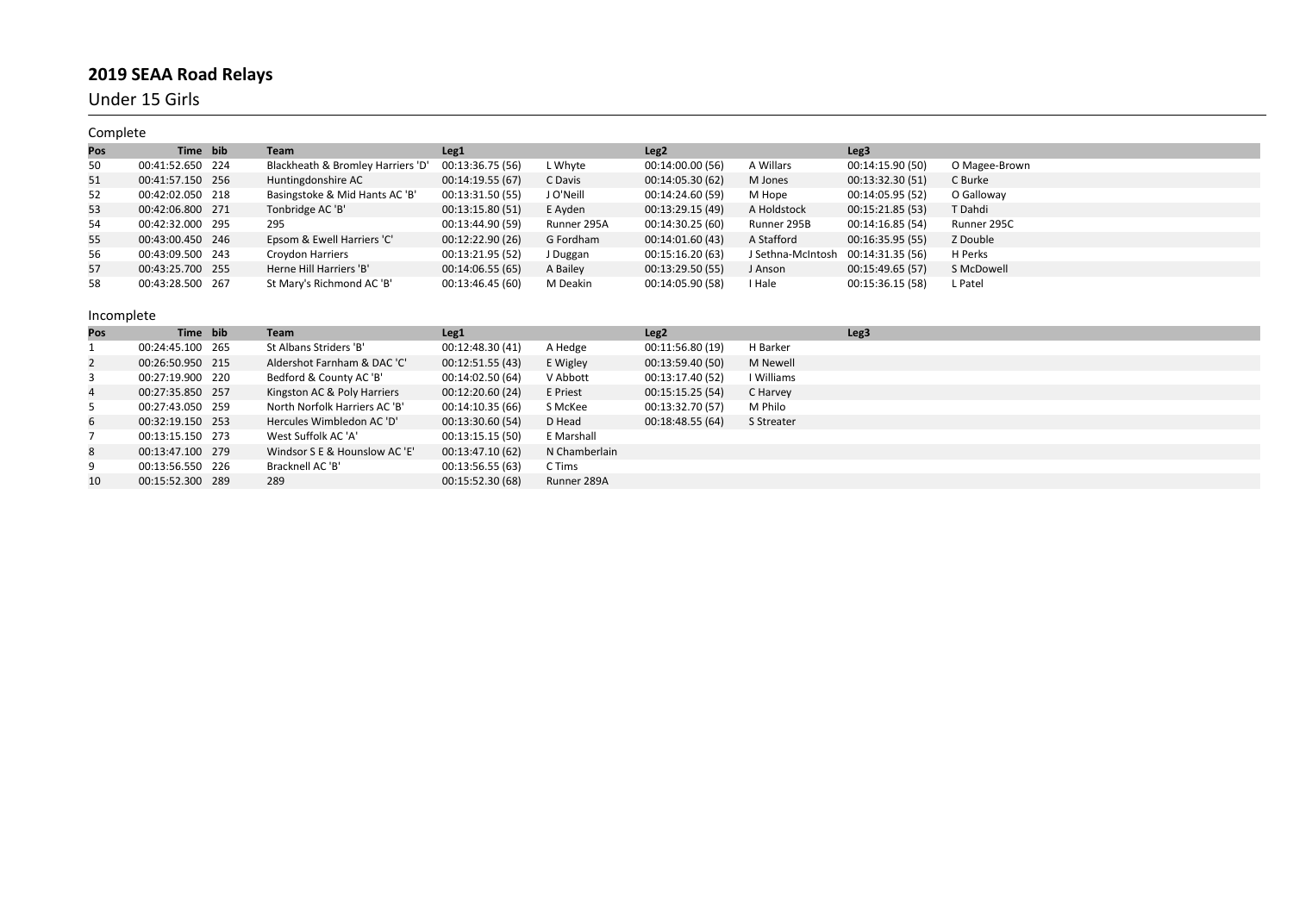Under 15 Girls

| Complete |                  |                                   |                  |             |                  |                   |                  |               |
|----------|------------------|-----------------------------------|------------------|-------------|------------------|-------------------|------------------|---------------|
| Pos      | Time bib         | Team                              | Leg <sub>1</sub> |             | Leg <sub>2</sub> |                   | Leg <sub>3</sub> |               |
| 50       | 00:41:52.650 224 | Blackheath & Bromley Harriers 'D' | 00:13:36.75 (56) | L Whyte     | 00:14:00.00 (56) | A Willars         | 00:14:15.90 (50) | O Magee-Brown |
| 51       | 00:41:57.150 256 | Huntingdonshire AC                | 00:14:19.55 (67) | C Davis     | 00:14:05.30 (62) | M Jones           | 00:13:32.30 (51) | C Burke       |
| 52       | 00:42:02.050 218 | Basingstoke & Mid Hants AC 'B'    | 00:13:31.50 (55) | J O'Neill   | 00:14:24.60 (59) | M Hope            | 00:14:05.95 (52) | O Galloway    |
| 53       | 00:42:06.800 271 | Tonbridge AC 'B'                  | 00:13:15.80 (51) | E Ayden     | 00:13:29.15 (49) | A Holdstock       | 00:15:21.85 (53) | T Dahdi       |
| 54       | 00:42:32.000 295 | 295                               | 00:13:44.90 (59) | Runner 295A | 00:14:30.25 (60) | Runner 295B       | 00:14:16.85 (54) | Runner 295C   |
| 55       | 00:43:00.450 246 | Epsom & Ewell Harriers 'C'        | 00:12:22.90 (26) | G Fordham   | 00:14:01.60 (43) | A Stafford        | 00:16:35.95 (55) | Z Double      |
| 56       | 00:43:09.500 243 | <b>Croydon Harriers</b>           | 00:13:21.95 (52) | J Duggan    | 00:15:16.20 (63) | J Sethna-McIntosh | 00:14:31.35 (56) | H Perks       |
| 57       | 00:43:25.700 255 | Herne Hill Harriers 'B'           | 00:14:06.55 (65) | A Bailey    | 00:13:29.50 (55) | J Anson           | 00:15:49.65 (57) | S McDowell    |
| 58       | 00:43:28.500 267 | St Mary's Richmond AC 'B'         | 00:13:46.45 (60) | M Deakin    | 00:14:05.90 (58) | I Hale            | 00:15:36.15 (58) | L Patel       |

| Pos            | Time bib         | Team                          | Leg <sub>1</sub> |               | Leg <sub>2</sub> |            | Leg3 |
|----------------|------------------|-------------------------------|------------------|---------------|------------------|------------|------|
|                | 00:24:45.100 265 | St Albans Striders 'B'        | 00:12:48.30 (41) | A Hedge       | 00:11:56.80 (19) | H Barker   |      |
| $\overline{2}$ | 00:26:50.950 215 | Aldershot Farnham & DAC 'C'   | 00:12:51.55 (43) | E Wigley      | 00:13:59.40 (50) | M Newell   |      |
| 3              | 00:27:19.900 220 | Bedford & County AC 'B'       | 00:14:02.50 (64) | V Abbott      | 00:13:17.40 (52) | I Williams |      |
| 4              | 00:27:35.850 257 | Kingston AC & Poly Harriers   | 00:12:20.60 (24) | E Priest      | 00:15:15.25 (54) | C Harvey   |      |
| 5              | 00:27:43.050 259 | North Norfolk Harriers AC 'B' | 00:14:10.35(66)  | S McKee       | 00:13:32.70 (57) | M Philo    |      |
| 6              | 00:32:19.150 253 | Hercules Wimbledon AC 'D'     | 00:13:30.60 (54) | D Head        | 00:18:48.55(64)  | S Streater |      |
|                | 00:13:15.150 273 | West Suffolk AC 'A'           | 00:13:15.15 (50) | E Marshall    |                  |            |      |
| 8              | 00:13:47.100 279 | Windsor S E & Hounslow AC 'E' | 00:13:47.10 (62) | N Chamberlain |                  |            |      |
| 9              | 00:13:56.550 226 | Bracknell AC 'B'              | 00:13:56.55(63)  | C Tims        |                  |            |      |
| 10             | 00:15:52.300 289 | 289                           | 00:15:52.30 (68) | Runner 289A   |                  |            |      |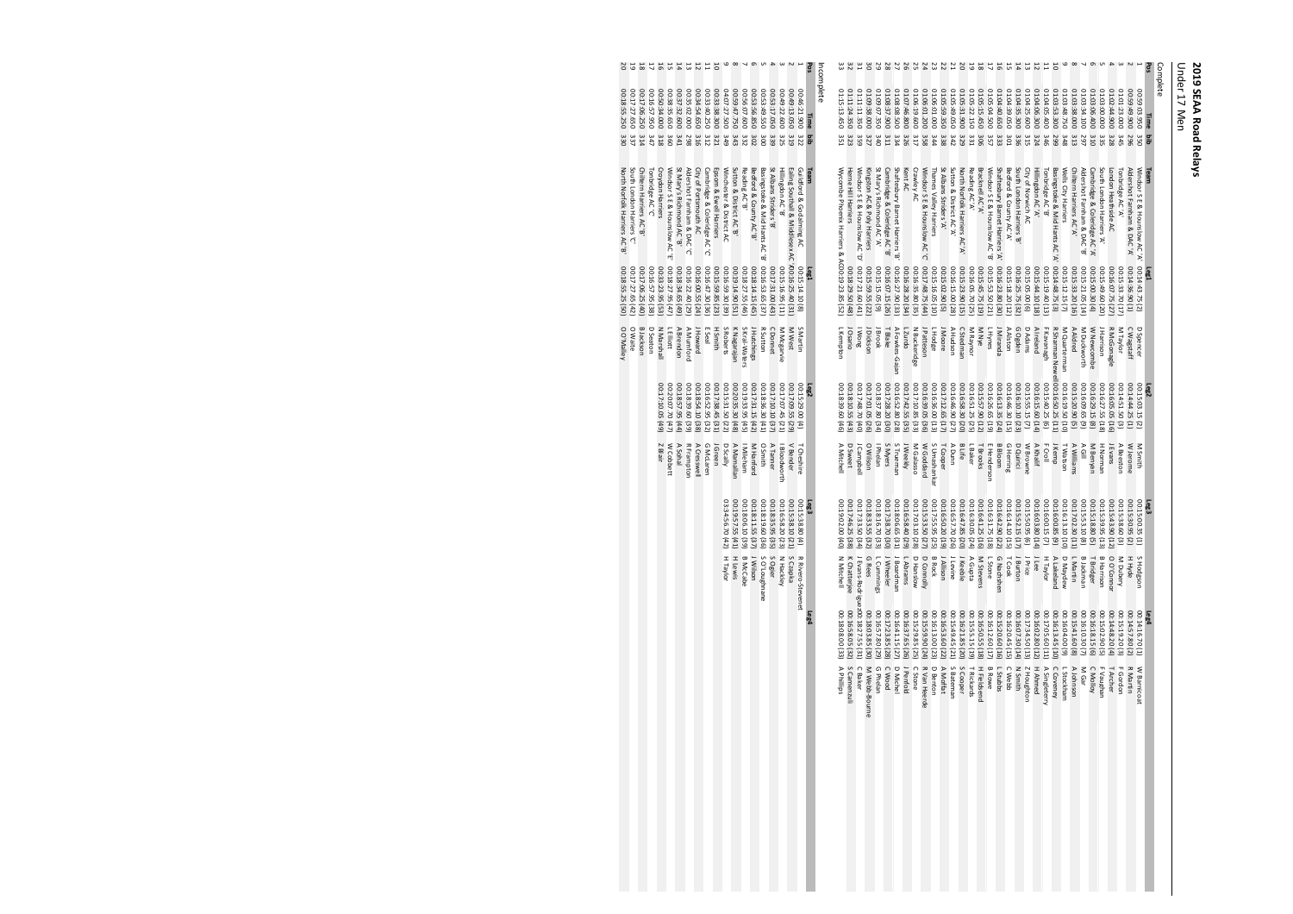Complete Under 17 Men

|                     |                                      |                      |                                      |                             |                                      | O Waite                           | 00:17:27.65 (42)                     | South London Harriers 'C'                                 | 00:17:27.650<br>337                        |                     |
|---------------------|--------------------------------------|----------------------|--------------------------------------|-----------------------------|--------------------------------------|-----------------------------------|--------------------------------------|-----------------------------------------------------------|--------------------------------------------|---------------------|
|                     |                                      |                      |                                      |                             |                                      |                                   |                                      |                                                           |                                            |                     |
|                     |                                      |                      |                                      |                             |                                      | <b>B</b> Jackson<br>D Seaton      | 00:17:06.25 (40)<br>00:16:57.95 (38) | Chiltern Harriers AC 'B'<br>Tonbridge AC 'C'              | 00:17:06.250<br>02:16:57.950<br>314<br>747 |                     |
|                     |                                      |                      |                                      | Z Blair                     | 00:17:10.05 (49)                     | <b>N Marshall</b>                 | 00:33:23.95 (53)                     | <b>Croydon Harriers</b>                                   | 00:34.000<br>318                           | 5 4 5 4 5 5 5 6 5 6 |
|                     |                                      |                      |                                      | W Cobbett                   | 00:20:07.70 (47)                     | L Elliott                         | 00:18:27.95 (47)                     | Windsor S E & Hounslow AC 'E'                             | 00:38:35.650<br>360                        |                     |
|                     |                                      |                      |                                      | A Sohal                     | 00:18:57.95 (44)                     | A Brendon                         | 00:18:34.65 (49)                     | St Mary's Richmond AC 'B'                                 | 00:37:32.600<br><b>The</b>                 |                     |
|                     |                                      |                      |                                      | <b>R Framptor</b>           | 00:18:39.60 (39)                     | A Mumford                         | 00:16:22.40 (29)                     | Aldershot Famham & DAC'C'                                 | 00:35:02.000<br>298                        |                     |
|                     |                                      |                      |                                      | A Cresswell                 | 00:18:54.10 (38)                     | J Howard                          | 00:16:00.55 (24)                     | City of Portsmouth AC                                     | 05:34:54.650<br>316                        |                     |
|                     |                                      |                      |                                      | G McLaren                   | 00:16:52.95 (32)                     | E Seal                            | 00:16:47.30 (36)                     | Cambridge & Coleridge AC 'C'                              | 00:33:40.250<br>312                        |                     |
|                     |                                      |                      |                                      | J Green                     | 00:17:38.45 (31)                     | <b>H Smith</b>                    | 00:15:59.85 (23)                     | Epsom & Ewell Harriers                                    | 00:33:38.300<br>321                        |                     |
|                     |                                      | H Taylor             | 03:34:56.70 (42)                     | D Scally                    | 00:15:31.50 (22)                     | S Roberts                         | 00:16:59.30 (39)                     | Winchester & District AC                                  | 04:07:27.500<br>6te                        | G                   |
|                     |                                      | H Lewis              | (14) 52.57.55 (41)                   | A Mamallan                  | 00:20:35.30 (48)                     | K Nagarajan                       | 15)06'77'67:00                       | Sutton & District AC'B'                                   | 06:59:47.750<br>ε₩                         |                     |
|                     |                                      | <b>B McCabe</b>      | 00:18:06.10(39)                      | Mileham                     | 00:19:33.95 (45)                     | S Kral-Waters                     | 00:18:27.55 (46)                     | Reading AC'B'                                             | 00:56:07.600<br>332                        |                     |
|                     |                                      | J Wilson             | 00:18:11.55 (37)                     | M Hanford                   | 00:17:31.15 (42)                     | J Hutchings                       | 00:18:14.15 (45)                     | Bedford & County AC'B'                                    | 02:53:56.850<br>202                        | G                   |
|                     |                                      | S O'Loughnane        | 00:18:19.60 (36)                     | <b>O Smith</b>              | 00:18:36.30 (41)                     | R Sutton                          | 00:16:53.65 (37)                     | Basingstoke & Mid Hants AC B'                             | 05:53:49.550<br>ö                          |                     |
|                     |                                      | S Ogier              | 00:18:35.95 (35)                     | A Tanner                    | 00:17:10.10 (37)                     | C Donnet                          | 00:17:31.00 (43)                     | St Albans Striders 'B'                                    | 06:53:17.050<br>339                        |                     |
|                     |                                      | N Hackley            | 00:16:58.20 (23)                     | I Bloodworth                | 00:17:07.45 (21)                     | M Mcgarvie                        | 00:15:16.95 (11)                     | Hillingdon AC 'B'                                         | 00:49:22.600<br>325                        |                     |
|                     |                                      | S Czapka             | 00:15:38.10 (21)                     | V Bender                    | 00:17:09.55 (29                      | M West                            |                                      | Ealing Southall & Middlesex AC '/00:16:25.40 (31          | 00:49:13.050<br><b>319</b>                 |                     |
|                     |                                      | R Rivero-Stevenet    | 00:15:38.80(4)                       | T Cheshire                  | 00:15:29.00(4)                       | S Martin                          | 00:15:14.10(8)                       | Guildford & Godalming AC                                  | 00:46:21.900<br>322                        |                     |
|                     |                                      |                      | Leg3                                 |                             |                                      |                                   | Leg1                                 | Team                                                      | Time<br>g                                  | Pos                 |
|                     |                                      |                      |                                      |                             |                                      |                                   |                                      |                                                           |                                            | ncomplete           |
| A Philips           | 00:18:08.00 (33)                     | N Mitchell           | 00:19:02.00(40)                      | A Mitchell                  | 00:18:39.60 (46)                     | L Kempton                         |                                      | Wycombe Phoenix Harriers & AC00:19:23.85 (52)             | 01:15:13.450<br>351                        |                     |
| S Camenzuli         | 00:16:58.05 (32)                     | K Chatterjee         | 00:17:46.25 (38)                     | <b>D</b> Sweet              | 00:18:10.55 (43)                     | J Osario                          | 00:18:29.50 (48)                     | Herne Hill Harriers                                       | 01:11:24.350                               | 32                  |
| C Baker             | J Evans-Rodrigue 200: 18: 27.55 (31) |                      | 00:17:33.50 (34)                     | Campbel                     | 30:17:48.70 (40)                     | <b>Nong</b>                       | 00:17:21.60 (41)                     | Windsor S E & Hounslow AC 'D'                             | 01:11:11.350<br>359                        |                     |
| M Webb-Bourne       | 00:18:03.85 (30)                     | <b>G</b> Rees        | 00:18:33.55 (32)                     | O Wilson                    | 00:17:01.05 (26)                     | Dickson                           | 00:15:59.55 (22                      | Kingston AC & Poly Harriers                               | 01:09:38.000<br>327                        |                     |
| G Phelan            | 00:16:57.80 (29)                     | L Cummings           | 00:18:16.70 (33)                     | <b>Phelan</b>               | 00:18:37.80 (34)                     | Brook                             | 00:15:15.05 (9)                      | St Mary's Richmond AC'A'                                  | 01:09:07.350<br>OĦE                        |                     |
| C Wood              | 00:17:23.85 (28)                     | Wheeler              | 00:17:38.70 (30)                     | S Myers                     | 00:17:28.20 (30)                     | T Blake                           | 00:16:07.15 (26)                     | Cambridge & Coleridge AC 'B'                              | 01:08:37.900<br>311                        |                     |
| <b>D Miche</b>      | 00:16:41.15 (27)                     | Boardman             | 00:18:06.65 (31)                     | S Truemar                   | 00:16:52.80 (28)                     | A Fowkes-Gajan                    | 00:16:27.90 (33)                     | Shaftesbury Barnet Harriers 'B                            | 01:08:08.500<br>334                        |                     |
| J Penfold           | 00:16:37.65 (26)                     | L Abrams             | 00:16:58.40 (29)                     | J Weekly                    | 00:17:42.55 (35)                     | L Zurdo                           | 00:16:28.20 (34)                     | Kent AC                                                   | 01:07:46.800<br>326                        |                     |
| C Stone             | 00:15:29.85 (25)                     | D Hanslow            | 00:17:03.10 (28)                     | M Galasso                   | 00:17:10.85 (33)                     | N Buckeridge                      | 00:16:35.80 (35)                     | Crawley AC                                                | 01:06:19.600<br>317                        |                     |
| R Van Heerde        | 00:15:59.90 (24)                     | D Connolly           | 00:15:33.50 (27)                     | W Goddard                   | 00:16:39.05 (36)                     | J Patteson                        | 00:17:48.75 (44)                     | Windsor S E & Hounslow AC 'C'                             | 01:06:01.200<br>358                        |                     |
| <b>D</b> Benton     | 00:16:13.00 (23)                     | <b>B Rock</b>        | 00:17:55.95 (25)                     | S Umashankar                | 00:16:36.00 (13)                     | L Hodge                           | 00:15:16.05 (10)                     | Thames Valley Harriers                                    | 01:06:01.000<br>₩£                         |                     |
| A Moffat            | 00:16:53.60 (22)                     | <b>J Allison</b>     | 00:16:50.20 (19)                     | T Cooper                    | 00:17:12.65 (17)                     | J Moore                           | 00:15:02.90 (5)                      | St Albans Striders 'A'                                    | 01:05:59.350<br>338                        |                     |
| S Batemar           | 00:15:49.45 (21)                     | Levine               | 00:16:57.70 (26)                     | ADunn                       | 00:16:46.90 (27)                     | A Hudson                          | 00:16:15.00 (28)                     | Sutton & District AC A'                                   | 02:05:49.050<br>ΣÞΕ                        |                     |
| S Cooper            | 00:16:21.85 (20)                     | J Keeble             | 00:16:47.85 (20)                     | B Life                      | 00:16:58.30 (20)                     | C Stedman                         | 00:15:23.90 (15)                     | North Norfolk Harriers AC'A'                              | 01:05:31.900<br>329                        |                     |
| T Rickards          | 00:15:55.15<br>$\overline{6}$        | A Gupta              | 00:16:30.05 (24)                     | LBaker                      | 00:16:51.25 (25)                     | M Raynor                          | 00:16:05.70 (25)                     | Reading AC'A'                                             | 01:05:22.150<br>33.1                       |                     |
| H Fieldsend         | 00:16:50.55 (18)                     | M Stevens            | 00:16:41.25 (16)                     | T Brooks                    | 00:15:57.90 (12)                     | M Nye                             | 00:15:45.75 (19)                     | Bracknell AC'A'                                           | 01:05:15.450<br>90                         |                     |
| Bowe                | 00:16:12.60 (17)                     | L Stone              | 00:16:31.75 (18)                     | E Henderson                 | 00:16:26.65 (19)                     | <b>LHynes</b>                     | 00:15:53.50 (21)                     | Windsor S E & Hounslow AC B'                              | 01:05:04.500<br>357                        |                     |
| C Webb<br>L Stubbs  | 00:15:20.60 (16)<br>00:16:20.45 (15) | G Nachshen<br>T Cook | 00:16:42.90 (22)<br>00:16:14.10 (15) | <b>B Bloom</b><br>G Herring | 00:16:46.30 (15)<br>00:16:13.35 (24) | J Miranda<br>A Alston             | 00:16:23.80 (30)<br>00:15:18.20 (12) | Shaftesbury Barnet Harriers 'A'<br>Bedford & County AC A' | 02:04:40.650<br>333<br>LOE                 |                     |
| N Smith             | 00:16:07.30 (14)                     | J Burton             | 00:15:52.15 (17)                     | D Quirici                   | 00:16:10.10 (23)                     | G Ogden                           | 00:16:25.75 (32)                     | South London Harriers 'B'                                 | 01:04:35.300<br>02:04:39.050<br>336        |                     |
| Z Houghton          | 00:17:34.50 (13)                     | J Price              | 00:15:50.95 (6)                      | W Browne                    | 00:15:55.15 (7)                      | D Adams                           | 00:15:05.00 (6)                      | City of Norwich AC                                        | 01:04:25.600<br>315                        |                     |
| <b>H Ahmed</b>      | 00:16:02.80 (12)                     | Jlee                 | 00:16:03.80 (14)                     | <b>A Khalif</b>             | 00:16:15.60 (14)                     | A Ireland                         | 00:15:44.10 (18)                     | Hillingdon AC 'A'                                         | 01:04:06.300<br>324                        |                     |
| A Singleterry       | 00:17:05.60 (11)                     | H Taylor             | 00:16:00.15(7)                       | F Croll                     | 00:15:40.25 (6)                      | Havanagh                          | 00:15:19.40 (13)                     | Tonbridge AC 'B'                                          | 01:04:05.400<br>916                        |                     |
| C Coveney           | 00:16:13.45 (10)                     | <b>A</b> Lakeland    | 00:16:00.85 (9)                      | J Kemp                      |                                      | R Sharman Newell 00:16:50.25 (11) | 00:14:48.75(3)                       | Basingstoke & Mid Hants AC A                              | 01:03:53.300<br>599                        |                     |
| - Stockham          | 00:16:04.00 (9)                      | D Maydew             | 00:16:13.10 (10)                     | T Watson                    | 00:16:19.50 (10)                     | M Quarterman                      | 00:15:12.15(7)                       | Wells City Harriers                                       | 01:03:48.750<br>8tf                        |                     |
| A Johnson           | 00:15:41.60 (8)                      | L Martin             | 00:17:02.30 (11)                     | A Williams                  | 00:15:20.90 (5)                      | A Aldred                          | 00:15:33.20 (16)                     | Chiltern Harriers AC'A'                                   | 01:03:38.000<br>313                        |                     |
| M Gar               | 00:16:10.30 (7)                      | B Jackman            | 00:15:53.10(8)                       | AGII                        | 00:16:09.65 (9)                      | M Duckworth                       | 00:15:21.05 (14)                     | Aldershot Famham & DAC'B'                                 | 01:03:34.100<br>797                        |                     |
| C <sub>Molloy</sub> | 00:16:18.15 (6)                      | T Bridger            | 00:15:18.80 (5)                      | M Benyan                    | 00:16:29.15 (8)                      | W Newcombe                        | 00:15:00.30(4)                       | Cambridge & Coleridge AC 'A'                              | 01:03:06.400<br>310                        |                     |
| ueyBne N 3          | 00:15:02.90 (5)                      | <b>B Harrison</b>    | 00:15:39.95 (13                      | H Normar                    | 00:16:27.55 (18                      | J Harrison                        | 00:15:49.60 (20                      | South London Harriers 'A'                                 | 01:03:00.000<br>335                        |                     |
| T Archer            | 00:14:48.20 (4)                      | O O'Connoi           | 00:15:43.90 (12                      | J Evans                     | 00:16:05.05 (16                      | R McGonagle                       | 00:16:07.75 (27                      | London Heathside AC                                       | 01:02:44.900<br>325                        |                     |
| F Gordon            | 00:15:19.20 (3)                      | M Dubery             | 00:15:38.60(3)                       | A Beeston                   | 00:14:51.50 (3)                      | M Taylor                          | 00:15:33.70 (17                      | Tonbridge AC'A'                                           | 01:01:23.000<br>Stre                       |                     |
| R Martin            | 00:14:57.80 (2)                      | H Hyde               | 00:15:30.95 (2)                      | W Jerome                    | 00:14:44.25 (1)                      | C Wagstaff                        | 00:14:36.90(1)                       | Aldershot Farnham & DAC'A'                                | 006:649:00<br>967                          |                     |
| W Barnicoat         | 00:14:16.70 (1)                      | S Hodgson            | 00:15:00.35 (1)                      | M Smith                     | 00:15:03.15 (2)                      | D Spencer                         | 00:14:43.75(2)                       | Windsor S E & Hounslow AC 'A'                             | 06:59:03.950<br>350                        |                     |
|                     | F <sub>gg4</sub>                     |                      | Leg3                                 |                             |                                      |                                   | Lag1                                 | Team                                                      | Time<br>gig                                | Pos                 |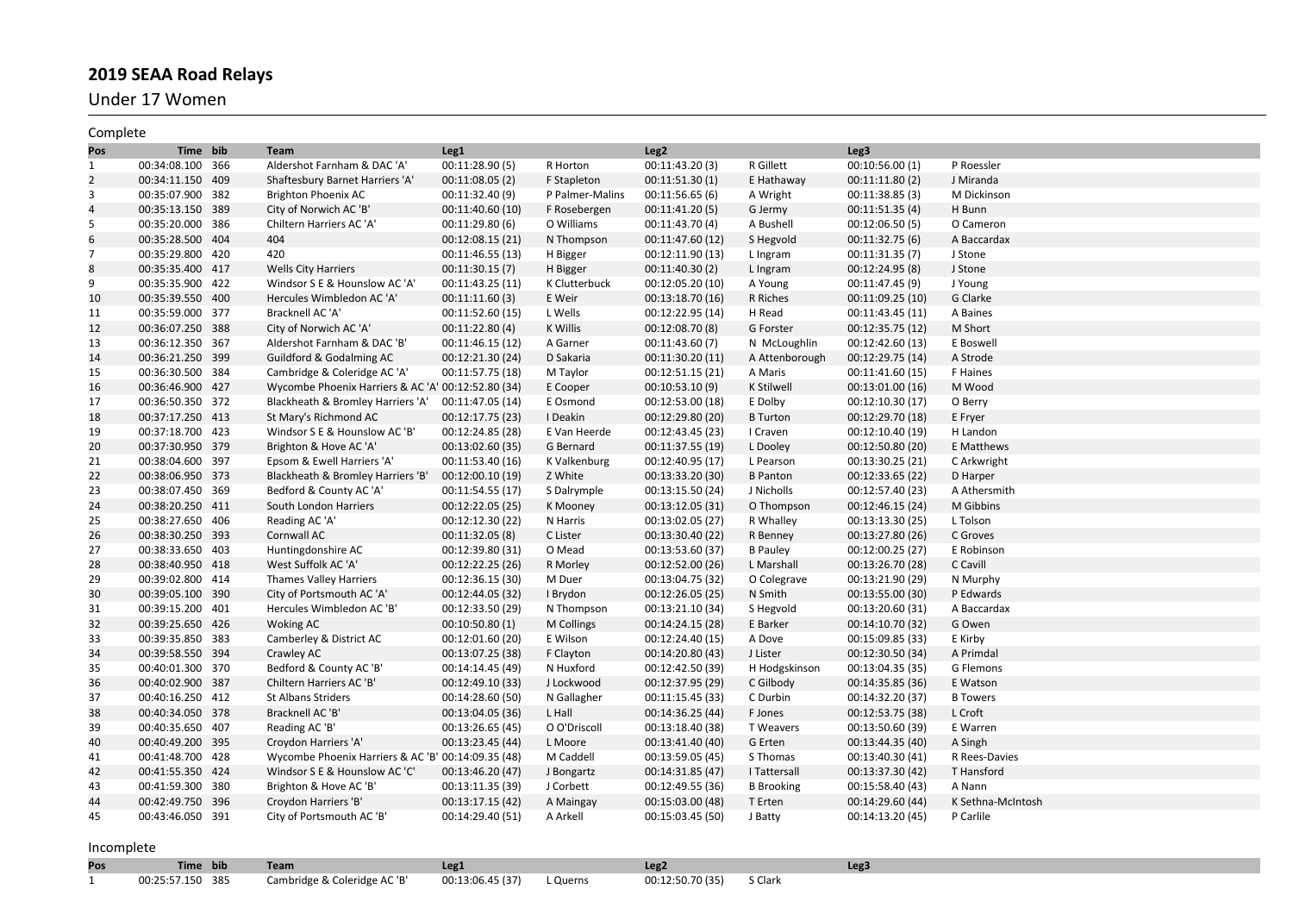Under 17 Women

| Complete       |                  |                                                    |                  |                 |                  |                   |                  |                   |
|----------------|------------------|----------------------------------------------------|------------------|-----------------|------------------|-------------------|------------------|-------------------|
| Pos            | Time bib         | Team                                               | Leg <sub>1</sub> |                 | Leg <sub>2</sub> |                   | Leg3             |                   |
| $\mathbf{1}$   | 00:34:08.100 366 | Aldershot Farnham & DAC 'A'                        | 00:11:28.90(5)   | R Horton        | 00:11:43.20(3)   | R Gillett         | 00:10:56.00 (1)  | P Roessler        |
| $\overline{2}$ | 00:34:11.150 409 | Shaftesbury Barnet Harriers 'A'                    | 00:11:08.05 (2)  | F Stapleton     | 00:11:51.30(1)   | E Hathaway        | 00:11:11.80(2)   | J Miranda         |
| 3              | 00:35:07.900 382 | Brighton Phoenix AC                                | 00:11:32.40 (9)  | P Palmer-Malins | 00:11:56.65(6)   | A Wright          | 00:11:38.85(3)   | M Dickinson       |
| $\overline{4}$ | 00:35:13.150 389 | City of Norwich AC 'B'                             | 00:11:40.60 (10) | F Rosebergen    | 00:11:41.20(5)   | G Jermy           | 00:11:51.35(4)   | H Bunn            |
| 5              | 00:35:20.000 386 | Chiltern Harriers AC 'A'                           | 00:11:29.80(6)   | O Williams      | 00:11:43.70 (4)  | A Bushell         | 00:12:06.50(5)   | O Cameron         |
| 6              | 00:35:28.500 404 | 404                                                | 00:12:08.15 (21) | N Thompson      | 00:11:47.60 (12) | S Hegvold         | 00:11:32.75(6)   | A Baccardax       |
| $\overline{7}$ | 00:35:29.800 420 | 420                                                | 00:11:46.55 (13) | H Bigger        | 00:12:11.90 (13) | L Ingram          | 00:11:31.35 (7)  | J Stone           |
| 8              | 00:35:35.400 417 | <b>Wells City Harriers</b>                         | 00:11:30.15(7)   | H Bigger        | 00:11:40.30(2)   | L Ingram          | 00:12:24.95 (8)  | J Stone           |
| 9              | 00:35:35.900 422 | Windsor S E & Hounslow AC 'A'                      | 00:11:43.25 (11) | K Clutterbuck   | 00:12:05.20 (10) | A Young           | 00:11:47.45 (9)  | J Young           |
| 10             | 00:35:39.550 400 | Hercules Wimbledon AC 'A'                          | 00:11:11.60(3)   | E Weir          | 00:13:18.70 (16) | R Riches          | 00:11:09.25 (10) | G Clarke          |
| 11             | 00:35:59.000 377 | Bracknell AC 'A'                                   | 00:11:52.60 (15) | L Wells         | 00:12:22.95 (14) | H Read            | 00:11:43.45 (11) | A Baines          |
| 12             | 00:36:07.250 388 | City of Norwich AC 'A'                             | 00:11:22.80(4)   | K Willis        | 00:12:08.70 (8)  | G Forster         | 00:12:35.75 (12) | M Short           |
| 13             | 00:36:12.350 367 | Aldershot Farnham & DAC 'B'                        | 00:11:46.15 (12) | A Garner        | 00:11:43.60 (7)  | N McLoughlin      | 00:12:42.60 (13) | E Boswell         |
| 14             | 00:36:21.250 399 | Guildford & Godalming AC                           | 00:12:21.30 (24) | D Sakaria       | 00:11:30.20 (11) | A Attenborough    | 00:12:29.75 (14) | A Strode          |
| 15             | 00:36:30.500 384 | Cambridge & Coleridge AC 'A'                       | 00:11:57.75 (18) | M Taylor        | 00:12:51.15 (21) | A Maris           | 00:11:41.60 (15) | F Haines          |
| 16             | 00:36:46.900 427 | Wycombe Phoenix Harriers & AC 'A' 00:12:52.80 (34) |                  | E Cooper        | 00:10:53.10 (9)  | <b>K Stilwell</b> | 00:13:01.00 (16) | M Wood            |
| 17             | 00:36:50.350 372 | Blackheath & Bromley Harriers 'A'                  | 00:11:47.05 (14) | E Osmond        | 00:12:53.00 (18) | E Dolby           | 00:12:10.30 (17) | O Berry           |
| 18             | 00:37:17.250 413 | St Mary's Richmond AC                              | 00:12:17.75 (23) | I Deakin        | 00:12:29.80 (20) | <b>B</b> Turton   | 00:12:29.70 (18) | E Fryer           |
| 19             | 00:37:18.700 423 | Windsor S E & Hounslow AC 'B'                      | 00:12:24.85 (28) | E Van Heerde    | 00:12:43.45 (23) | I Craven          | 00:12:10.40 (19) | H Landon          |
| 20             | 00:37:30.950 379 | Brighton & Hove AC 'A'                             | 00:13:02.60 (35) | G Bernard       | 00:11:37.55 (19) | L Dooley          | 00:12:50.80 (20) | E Matthews        |
| 21             | 00:38:04.600 397 | Epsom & Ewell Harriers 'A'                         | 00:11:53.40 (16) | K Valkenburg    | 00:12:40.95 (17) | L Pearson         | 00:13:30.25 (21) | C Arkwright       |
| 22             | 00:38:06.950 373 | Blackheath & Bromley Harriers 'B'                  | 00:12:00.10 (19) | Z White         | 00:13:33.20 (30) | <b>B</b> Panton   | 00:12:33.65 (22) | D Harper          |
| 23             | 00:38:07.450 369 | Bedford & County AC 'A'                            | 00:11:54.55 (17) | S Dalrymple     | 00:13:15.50 (24) | J Nicholls        | 00:12:57.40 (23) | A Athersmith      |
| 24             | 00:38:20.250 411 | South London Harriers                              | 00:12:22.05 (25) | K Mooney        | 00:13:12.05 (31) | O Thompson        | 00:12:46.15 (24) | M Gibbins         |
| 25             | 00:38:27.650 406 | Reading AC 'A'                                     | 00:12:12.30 (22) | N Harris        | 00:13:02.05 (27) | R Whalley         | 00:13:13.30 (25) | L Tolson          |
| 26             | 00:38:30.250 393 | Cornwall AC                                        | 00:11:32.05(8)   | C Lister        | 00:13:30.40 (22) | R Benney          | 00:13:27.80 (26) | C Groves          |
| 27             | 00:38:33.650 403 | Huntingdonshire AC                                 | 00:12:39.80 (31) | O Mead          | 00:13:53.60 (37) | <b>B</b> Pauley   | 00:12:00.25 (27) | E Robinson        |
| 28             | 00:38:40.950 418 | West Suffolk AC 'A'                                | 00:12:22.25 (26) | R Morley        | 00:12:52.00 (26) | L Marshall        | 00:13:26.70 (28) | C Cavill          |
| 29             | 00:39:02.800 414 | <b>Thames Valley Harriers</b>                      | 00:12:36.15 (30) | M Duer          | 00:13:04.75 (32) | O Colegrave       | 00:13:21.90 (29) | N Murphy          |
| 30             | 00:39:05.100 390 | City of Portsmouth AC 'A'                          | 00:12:44.05 (32) | I Brydon        | 00:12:26.05 (25) | N Smith           | 00:13:55.00 (30) | P Edwards         |
| 31             | 00:39:15.200 401 | Hercules Wimbledon AC 'B'                          | 00:12:33.50 (29) | N Thompson      | 00:13:21.10 (34) | S Hegvold         | 00:13:20.60 (31) | A Baccardax       |
| 32             | 00:39:25.650 426 | <b>Woking AC</b>                                   | 00:10:50.80(1)   | M Collings      | 00:14:24.15 (28) | E Barker          | 00:14:10.70 (32) | G Owen            |
| 33             | 00:39:35.850 383 | Camberley & District AC                            | 00:12:01.60 (20) | E Wilson        | 00:12:24.40 (15) | A Dove            | 00:15:09.85 (33) | E Kirby           |
| 34             | 00:39:58.550 394 | Crawley AC                                         | 00:13:07.25 (38) | F Clayton       | 00:14:20.80 (43) | J Lister          | 00:12:30.50 (34) | A Primdal         |
| 35             | 00:40:01.300 370 | Bedford & County AC 'B'                            | 00:14:14.45 (49) | N Huxford       | 00:12:42.50 (39) | H Hodgskinson     | 00:13:04.35 (35) | G Flemons         |
| 36             | 00:40:02.900 387 | Chiltern Harriers AC 'B'                           | 00:12:49.10 (33) | J Lockwood      | 00:12:37.95 (29) | C Gilbody         | 00:14:35.85 (36) | E Watson          |
| 37             | 00:40:16.250 412 | <b>St Albans Striders</b>                          | 00:14:28.60 (50) | N Gallagher     | 00:11:15.45 (33) | C Durbin          | 00:14:32.20 (37) | <b>B</b> Towers   |
| 38             | 00:40:34.050 378 | Bracknell AC 'B'                                   | 00:13:04.05 (36) | L Hall          | 00:14:36.25 (44) | F Jones           | 00:12:53.75 (38) | L Croft           |
| 39             | 00:40:35.650 407 | Reading AC 'B'                                     | 00:13:26.65 (45) | O O'Driscoll    | 00:13:18.40 (38) | T Weavers         | 00:13:50.60 (39) | E Warren          |
| 40             | 00:40:49.200 395 | Croydon Harriers 'A'                               | 00:13:23.45 (44) | L Moore         | 00:13:41.40 (40) | G Erten           | 00:13:44.35 (40) | A Singh           |
| 41             | 00:41:48.700 428 | Wycombe Phoenix Harriers & AC 'B' 00:14:09.35 (48) |                  | M Caddell       | 00:13:59.05 (45) | S Thomas          | 00:13:40.30 (41) | R Rees-Davies     |
| 42             | 00:41:55.350 424 | Windsor S E & Hounslow AC 'C'                      | 00:13:46.20 (47) | J Bongartz      | 00:14:31.85 (47) | I Tattersall      | 00:13:37.30 (42) | T Hansford        |
| 43             | 00:41:59.300 380 | Brighton & Hove AC 'B'                             | 00:13:11.35 (39) | J Corbett       | 00:12:49.55 (36) | <b>B</b> Brooking | 00:15:58.40 (43) | A Nann            |
| 44             | 00:42:49.750 396 | Croydon Harriers 'B'                               | 00:13:17.15 (42) | A Maingay       | 00:15:03.00 (48) | T Erten           | 00:14:29.60 (44) | K Sethna-McIntosh |
| 45             | 00:43:46.050 391 | City of Portsmouth AC 'B'                          | 00:14:29.40 (51) | A Arkell        | 00:15:03.45 (50) | J Batty           | 00:14:13.20 (45) | P Carlile         |
|                |                  |                                                    |                  |                 |                  |                   |                  |                   |
| Incomplete     |                  |                                                    |                  |                 |                  |                   |                  |                   |
| Pos            | Time bib         | Team                                               | Leg1             |                 | Leg <sub>2</sub> |                   | Leg3             |                   |

| . | $\blacksquare$   | $1$ cann                     | ---                          | ---              |         |
|---|------------------|------------------------------|------------------------------|------------------|---------|
|   | 00:25:57.150 385 | Cambridge & Coleridge AC 'B' | 00:13:06.45 (37)<br>L Querns | 00:12:50.70 (35) | S Clark |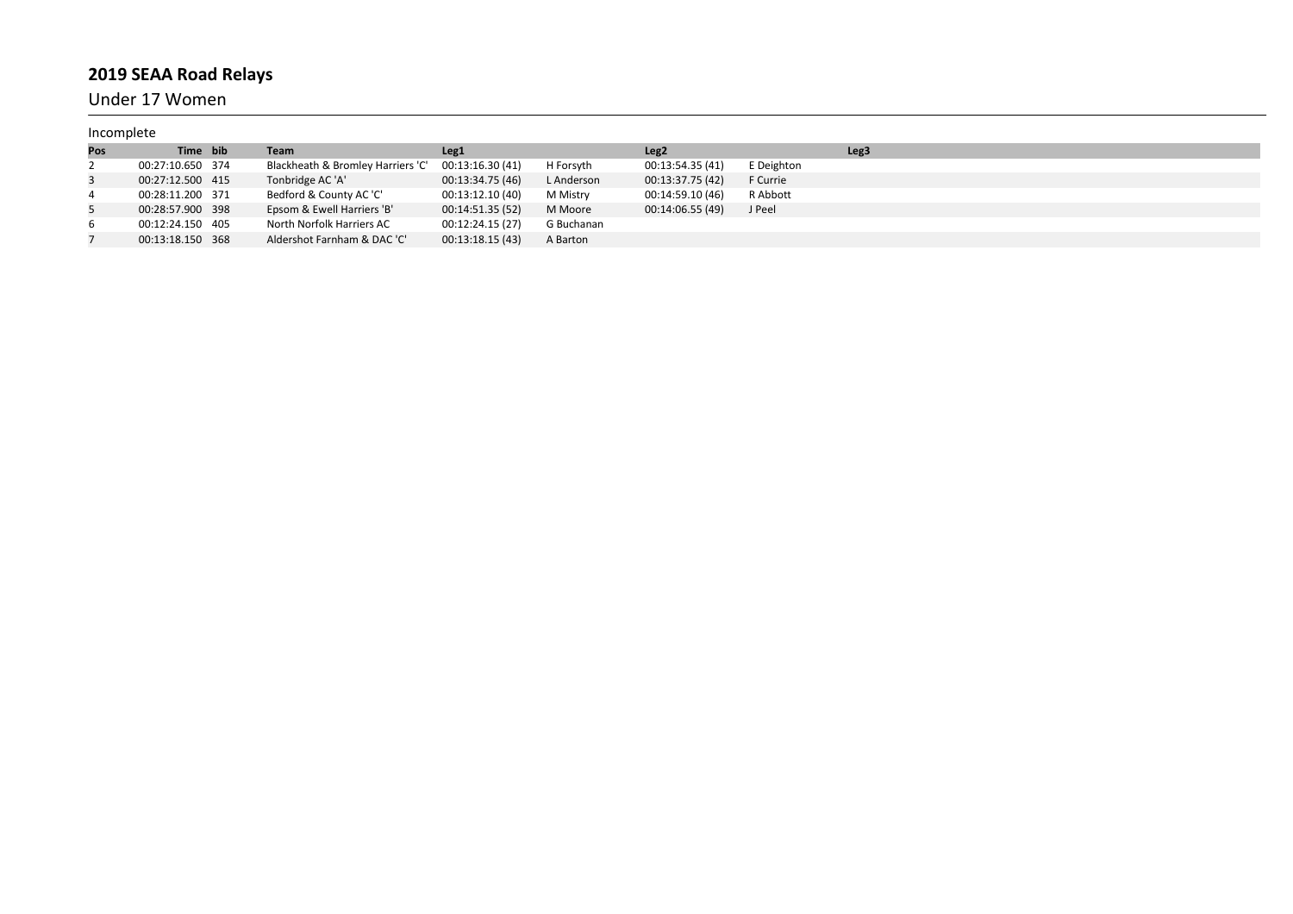Under 17 Women

| Incomplete |                  |                                   |                  |            |                  |            |                  |
|------------|------------------|-----------------------------------|------------------|------------|------------------|------------|------------------|
| Pos        | Time bib         | Team                              | Leg <sub>1</sub> |            | Leg <sub>2</sub> |            | Leg <sub>3</sub> |
|            | 00:27:10.650 374 | Blackheath & Bromley Harriers 'C' | 00:13:16.30 (41) | H Forsyth  | 00:13:54.35 (41) | E Deighton |                  |
| 3          | 00:27:12.500 415 | Tonbridge AC 'A'                  | 00:13:34.75 (46) | L Anderson | 00:13:37.75 (42) | F Currie   |                  |
| 4          | 00:28:11.200 371 | Bedford & County AC 'C'           | 00:13:12.10 (40) | M Mistry   | 00:14:59.10 (46) | R Abbott   |                  |
|            | 00:28:57.900 398 | Epsom & Ewell Harriers 'B'        | 00:14:51.35 (52) | M Moore    | 00:14:06.55 (49) | J Peel     |                  |
| 6          | 00:12:24.150 405 | North Norfolk Harriers AC         | 00:12:24.15 (27) | G Buchanan |                  |            |                  |
|            | 00:13:18.150 368 | Aldershot Farnham & DAC 'C'       | 00:13:18.15(43)  | A Barton   |                  |            |                  |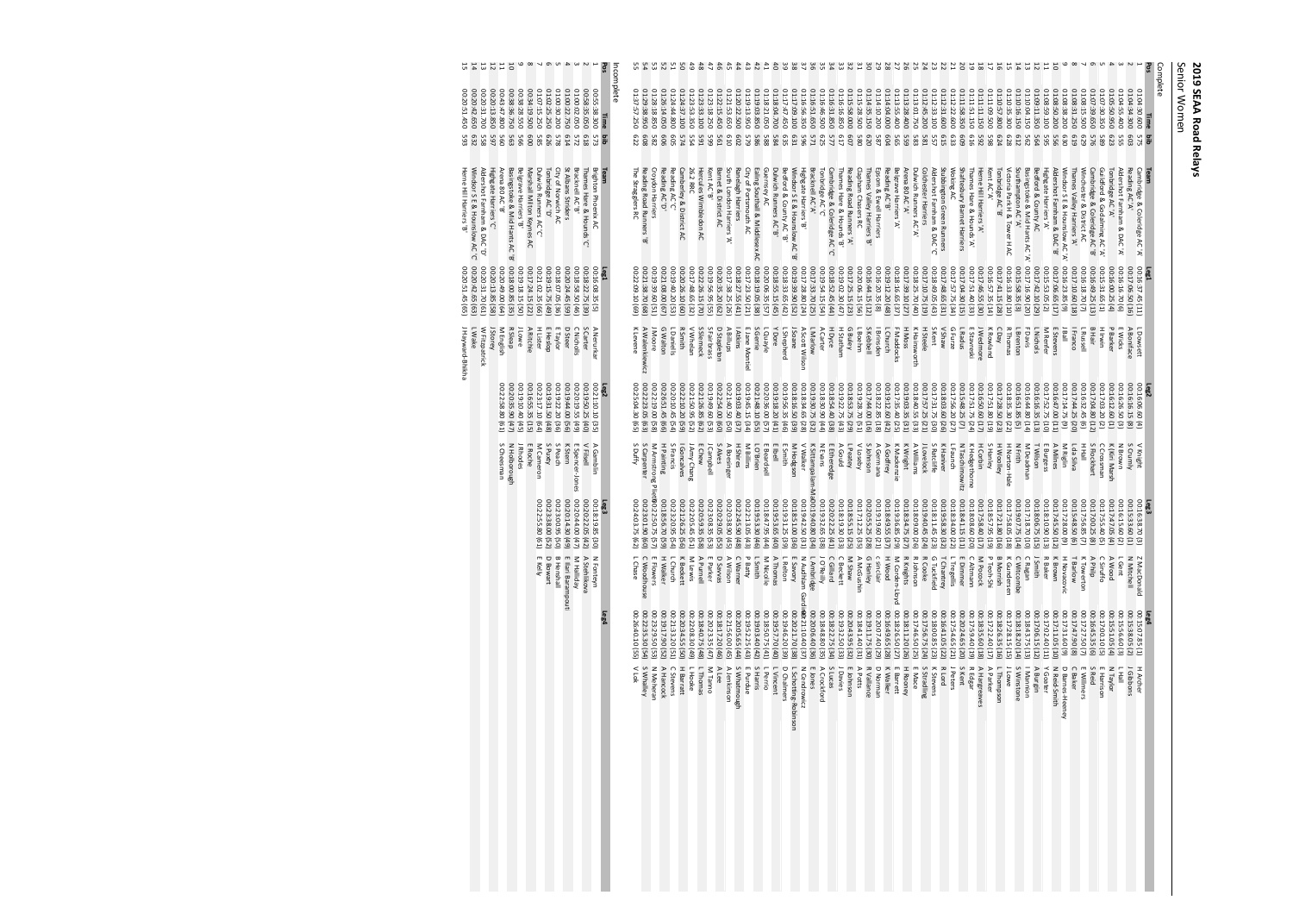# 2019 SEAA Road Relays<br>Senior Women **2019 SEAA Road Relays**

Senior Women

| 123458189m 1 1 1 1 1 1 1 1<br>Pos<br>Incomplete                                                                                                                                                                                                                                                                                                                                                                   | 3456789mmmmmmmmmmmmmmmmmmmmmmmmmから3.5%mmmmmmmmmmmm。                                                                                                                                                                                                                                                                                                                                                                                                                                                                                                                                                                                                                                                                                                                                                                                                                                | Pos<br>Complete                                                                                                                                                                                                                                                                                                                                                                                                                                                                                                                                                                                                                                                                                                                                                                                                                                                                                |
|-------------------------------------------------------------------------------------------------------------------------------------------------------------------------------------------------------------------------------------------------------------------------------------------------------------------------------------------------------------------------------------------------------------------|------------------------------------------------------------------------------------------------------------------------------------------------------------------------------------------------------------------------------------------------------------------------------------------------------------------------------------------------------------------------------------------------------------------------------------------------------------------------------------------------------------------------------------------------------------------------------------------------------------------------------------------------------------------------------------------------------------------------------------------------------------------------------------------------------------------------------------------------------------------------------------|------------------------------------------------------------------------------------------------------------------------------------------------------------------------------------------------------------------------------------------------------------------------------------------------------------------------------------------------------------------------------------------------------------------------------------------------------------------------------------------------------------------------------------------------------------------------------------------------------------------------------------------------------------------------------------------------------------------------------------------------------------------------------------------------------------------------------------------------------------------------------------------------|
| $\begin{array}{r} 00:5835,050 \\ 01:00122.09 \\ 01:00122.750 \\ 01:00232.50 \\ 01:02132.50 \\ 01:0713.529 \\ 01:0713.529 \\ \end{array}$<br>$\rm ^{50}$<br>00:20:13.850<br>$\begin{array}{l} 00:38:28:55 \\ 00:38:35.750 \\ 00:43:47.800 \end{array}$<br>00:34:19.500<br>56:22<br>ö<br>š<br>:20:42.650<br>:20:51.450<br>50<br>:38.300<br>31.700<br>Time                                                           | 01:28:18.850<br>$\begin{array}{l} 01: 23: 33: 100 \\ 01: 23: 53: 39 \\ 01: 24: 44: 800 \\ 01: 26: 14. 050 \end{array}$<br>$\begin{array}{r} 01.13\,94.700 \\ 01.13\,22.105 \\ 01.19\,1938 \\ 01.20\,123 \\ 01.20\,22.500 \\ 01.20\,22.500 \\ 01.21\,53.650 \\ \end{array}$<br>01:17:09.100<br>01:16:56.350<br>01:16:51.650<br>01:16:31.850<br>01:16:16.850<br>01:14:35.150<br>01:14:10.200<br>01:14:04.000<br>01:29:38.950<br>01:23<br>01:22:15.450<br>02:17:47.450<br>01:16:46.500<br>01:15:58.000<br>01:15<br>01:13<br>01:37<br><b>157.250</b><br>:28.500<br>007'S5:400<br>:18.250                                                                                                                                                                                                                                                                                               | $01:13:01.75001:13:28.400$<br>01:12:45.200<br>01:12:31.600<br>01:12:22.600<br>02:11:58.350<br>01:11:51.150<br>01:11:11.150<br>01:11<br>01:10:57.800<br>01:10:35.300<br>01:10:16.150<br>01:10:04.150<br>01:09:11.350<br>01:08:59.10<br>01:08:38.200<br>01:08:15.500<br>01:08:31.250<br>01:07<br>01:07:30.350<br>02:05:50.950<br>01:12:33.100<br>01:08:50.200<br>01:04<br>01:04<br>01:04:30.600<br>005'60"<br>059.650<br>007'S5:1<br>1:34.300<br>Time                                                                                                                                                                                                                                                                                                                                                                                                                                            |
| 979<br>878<br>614<br>618<br>572<br>g<br>588888<br>573<br>SS <sub>S</sub><br>585                                                                                                                                                                                                                                                                                                                                   | 582<br>909<br>554<br>574<br>802<br>GS5<br><b>596</b><br>625<br>607<br>577<br>587<br>620<br>604<br>608<br>Eg<br>665<br><b>561</b><br>e10<br>625<br>985<br>88<br>284                                                                                                                                                                                                                                                                                                                                                                                                                                                                                                                                                                                                                                                                                                                 | 615<br>633<br>609<br><b>616</b><br>292<br>623<br><b>Bi</b><br>575<br>803<br><b>998889</b><br>865<br>624<br>829<br>612<br>562<br>564<br>955<br>630<br>6T <sub>9</sub><br>679<br>9/5<br>685<br>SSS<br>S6S                                                                                                                                                                                                                                                                                                                                                                                                                                                                                                                                                                                                                                                                                        |
| Bracknell AC'B'<br>St Albans Striders<br>Marshall Milton Keynes AC<br>Belgrave Harriers 'B'<br>Basingstoke & Mid Hants AC<br>Arena 80 AC 'B'<br>Highgate Harriers 'C'<br>Dulwich Runners AC<br>City of Norwich AC<br>Thames Hare & Hounds<br><b>Brighton Phoenix AC</b><br>Team<br>Windsor S E & Hounslow AC 'C'<br>Herne Hill Harriers 'B'<br>Aldershot Farnham & DAC'D'<br>Tonbridge AC 'D'<br>Q<br>Q<br>λ<br>ಹ | <b>Croydon Harriers</b><br>Dulwich Runners AC'<br>Guernsey AC<br>Bracknell AC'A'<br>Cambridge & Coleridge AC<br>Reading Road Runners'A'<br>Clapham Chasers RC<br>Epsom<br><b>Belgrave Harriers</b> 'A'<br>Reading Road Runners<br>Reading AC 'D'<br>Reading AC<br>Camberley &<br>South London Harriers'A'<br>Ranelagh Harriers<br>City of Portsmouth<br>Ealing Southall & Middlesex<br>Windsor S E & Hounslow AC<br>Bedford & County AC 'B'<br>Highgate Harriers 'B'<br>Thames Hare & Hounds<br>Thames Valley Harriers<br>Reading AC 'B'<br>The Stragglers RC<br>26.2 RRC<br>Hercules Wimbledon AC<br>Kent<br>Barnet<br>Tonbridge AC'C'<br>λ<br>œ<br>& Ewell Harriers<br>œ<br>District<br>$\tilde{\Omega}$<br>District AC<br>$\geq$<br>$\geq$<br>œ<br>œ<br>œ<br>œ<br>$\tilde{\Omega}$<br>λ<br>œ                                                                                    | Stubbington Green Runners<br>Shaftesbury Barnet Harriers<br>Basingstoke & Mid Hants AC'A'<br>Bedford & County AC<br>Guildford & Godalming AC'A'<br>Cambridge & Coleridge AC'A'<br>Team<br>Arena 80 AC 'A'<br>Dulwich Runners AC'A'<br>Colchester Harriers<br>Aldershot Famham & DAC<br>Woking.<br>Thames Hare & Hounds 'A'<br>Herne Hill Harriers 'A'<br>Tonbridge AC'B'<br>Victoria Park H & Tower H AC<br>Southampton AC'A'<br>Highgate Harriers 'A'<br>Aldershot Famham & DAC<br>Thames Valley Harriers 'A'<br>Windsor S E & Hounslow AC 'A'<br>Winchester & District AC<br>Cambridge & Coleridge<br>Tonbridge AC 'A'<br>Reading AC A<br>Kent AC 'A'<br>Aldershot Farnham & DAC'A<br>λ<br>$\approx$<br>Q<br>œ<br>œ                                                                                                                                                                          |
| 00:20:42.65<br>00:20:31.70 (61)<br>$\begin{array}{l} 0.216033545 \\ 0.2160324545 \\ 0.216032445 \\ 0.216032445 \\ 0.2160324545 \\ 0.2160324545 \\ 0.2160324545 \\ 0.2160324545 \\ 0.2160324545 \\ 0.2160324545 \\ 0.2160324545 \\ 0.2160324545 \\ 0.216032455 \\ 0.216032455 \\ 0.216032455 \\ 0.216032$<br>20:20:51.45<br>Leg1<br>$\begin{pmatrix} 6 & 3 \\ 6 & 5 \end{pmatrix}$                                 | 00:16:20.35 (8)<br>00:16:44.15 (12)<br>00:20:06.15 (56)<br>00:17:25.15 (23)<br>00:21:38.70 (<br>00:19:39.<br>So<br>(68)<br>G1)<br>[ea                                                                                                                                                                                                                                                                                                                                                                                                                                                                                                                                                                                                                                                                                                                                              | $\begin{array}{ll} &0.15.58.35\, (3)\\ &0.017.41.15\, (28)\\ &0.0177.45.55\, (30)\\ &0.0177.45.55\, (30)\\ &0.0177.55\, (44)\\ &0.0177.55\, (46)\\ &0.0177.57\, (47)\\ &0.0177.04\, (48)\\ \end{array}$<br>0631:16.90<br>$\begin{array}{l} 00.15.31.65\ (1) \\ 00.16.49.25\ (13) \\ 00.16.18.70\ (7) \\ 00.177.10.60\ (18) \\ 00.177.0665\ (17) \\ 00.177665\ (17) \\ 00.177665\ (17) \\ \end{array}$<br>$\begin{array}{l} 00:17:10.75\ (19) \\ 00:18:25.70\ (40) \\ 00:17:39.10\ (27) \\ 00:13:16.65\ (37) \\ 00:19:12.20\ (48) \end{array}$<br>(£v) 50'6t%300<br>128 98.65 (31)<br>00:17:57.75<br>00:17:42.10 (29)<br>00:16:00.25<br>00:16:16.70<br>Leg1<br>00:16:37.45 (11)<br>00:17:06:50 (16)<br>(a4<br>(20)<br><b>GEES</b>                                                                                                                                                               |
| J Hayward-Bhikha<br>W Fitzpatrick<br>J Lowe<br>R Sleap<br>M English<br>J Storey<br>H Lister<br>A Ritchie<br>$\blacksquare$<br>m<br>$\hbox{\tt\small\bf o}$<br>$\cap$<br>S Carter<br>$\,$<br><b>LWake</b><br>Heslop<br>Taylor<br><b>Steer</b><br><b>Nicholls</b><br>Nerurkar                                                                                                                                       | J Moore<br>L Daniells<br>ᅎ<br>$\,<$<br>S Slemeck<br><b>S Fairbrass</b><br>I Atkins<br>L Quayle<br>S Gerrie<br>I<br>$\Omega$<br>L Boehm<br>S Kebbell<br>L Church<br>K Levene<br>A Walenkiewicz<br>G Walton<br>$\hbox{\tt\small\bf o}$<br>$\triangleright$<br>Þ<br>L Marlow<br>ъ<br>$\mathbf x$<br>F Maddocks<br><b>Brinsden</b><br>Soane<br>Dore<br>Shepherd<br>Scott Wilson<br>Smith<br>Whelan<br>k Billups<br>) Stapleton<br>Jane Montiel<br>Dyce<br>Carter<br>i Buley<br>Statham                                                                                                                                                                                                                                                                                                                                                                                                 | S Kent<br>H Steele<br>Weys V<br>$\Omega$<br>L Radus<br>J Wedmore<br>×<br>$\cap$<br>F Davis<br>$\,\varpi\,$<br>$\mathbf \sigma$<br>$\,$<br>L Dowsett<br>H Moss<br>ᄎ<br>L Brenton<br>R Thomas<br>L Nichols<br>I Franco<br>J Ball<br>E Stevens<br>L Russell<br>I<br>ζ<br>Hainsworth<br>Furze<br>Stavreski<br>Rowland<br>Vay<br>Hair<br>Invin<br>Barker<br>Wicks<br><b>Boniface</b><br>Renfer                                                                                                                                                                                                                                                                                                                                                                                                                                                                                                      |
| $\begin{array}{r} 00:19:22 \\ 00:22:3:17 \\ 00:22:3:19 \\ 00:22:5:8 \\ 00:22:2:8 \\ 00:22:2:8 \end{array}$<br>00:19:44<br>00:19:50.<br>00:20:19.<br>00:21:10.10<br>Leg2<br>2 8 8 8 8 8 9 8 8 8<br>(48)<br>99830<br>33323                                                                                                                                                                                          | 00:22:23<br>00:25:04.<br>00:21:40<br>00:19:03<br>00:19:45<br>00:21:48.10<br>00:20:36.00<br>$\begin{array}{c} 00:18:16.50 \ (39) \\ 00:19:56.35 \ (46) \\ 00:19:18.20 \ (41) \end{array}$<br>00:19:30.75<br>00:18:54.40<br>00:22:19.<br>00:26:51<br>00:20:10<br>00:22:10<br>00:21:50<br>00:21:26<br>00:19:49<br>00:22:54.<br>00:18:34.65<br>00:18:30.90 (44)<br>00:19:22.75<br>00:18:53.75<br>00:19:28.70<br>00:17:44.00<br>00:18:22.85 (18)<br>00:19:12.60 (42)<br>$\overline{8}$<br>45<br>$\ddot{t}$<br>.zo<br>$\overline{8}$<br>ġ.<br>$\ddot{\sigma}$<br>:15<br>ë<br>S.<br>GG <sub></sub><br>$\overline{\mathbf{S}}$<br>ġ<br>(32)<br>$(29)$<br>$(38)$<br>(82)<br>(99)<br>$\Xi$<br>$\overline{\text{ss}}$<br>GS)<br>$\overline{c}$<br>(62)<br>55<br>$\overline{5}$<br>G <sub>3</sub><br>$\overline{1}$<br>E3<br>$\overline{8}$<br>$\mathbf{S}$<br>$\widetilde{\Xi}$<br>ĴΨ.<br>ίg. | $\begin{array}{l} 001.7:31.75 \ (30) \\ 001.7:57.25 \ (21) \\ 0013:540.55 \ (33) \\ 0013:903.35 \ (31) \\ 001.7:35.40 \ (25) \\ \end{array}$<br>$\begin{array}{l} 00:17:51.75 \ (0.011:51.75 \ (0.012:56.2) \ (0.011:56.2) \ (0.013:56.2) \end{array}$<br>00:16:50.60<br>00:16:44.<br>00:17:52.75  <br>00:16:16.35  <br>00:16:32.45 (6)<br>00:17:44.25 (20)<br>00:17:14.75 (9)<br>00:16:47.00 (11)<br>00:17:04<br>00:16:16.15<br>00:16:06.60 (4)<br>00:17:51<br>00:17:28.<br>00:18:35<br>00:16:51.<br>00:17:03<br>00:16:12<br>00:16:26<br>Leg <sub>2</sub><br>ġ<br>$\overline{\mathbf{g}}$<br>$\mathbf{g}$<br>$\overline{8}$<br>ġ.<br>ë<br>65<br>ġ.<br><b>SO</b><br>(92)<br>Ē<br>(23)<br>$\mathfrak{D}$<br>G <sub>1</sub><br>$\widehat{\mathcal{G}}$<br>(F)<br>$\left( \frac{13}{2} \right)$<br>Θ<br>$\overline{12}$<br>[24]<br>$\overline{z}$<br>5<br>Ξ<br>$\widehat{\mathbf{g}}$<br>(2)<br>Θ |
| E Roche<br>S Peach<br>S Puxty<br>M Cameron<br>K Stern<br>E Spencer-Jones<br><b>VFilsell</b><br>A Gamblin<br>J Rhodes<br>N Holborough<br>S Cheesman                                                                                                                                                                                                                                                                | S Duffy<br>S Carpenter<br><b>S Francis</b><br>E Chew<br>S Alves<br>E Beardsell<br>LO'Brien<br>E Ibell<br>E Etheredge<br>L Peatey<br>A Gould<br>S Johnson<br>M Armstrong Pliet10:22:50.75<br>H Painting<br>A Boesinger<br>H Shires<br>E Smith<br>v walker<br>K Sittampa<br>N Evans<br>V Loseby<br>A Germana<br>A Godfrey<br>Campbell<br>M Billins<br>M Hodgson<br>Goncalves<br>Amy Chang<br>$\overline{6}$                                                                                                                                                                                                                                                                                                                                                                                                                                                                          | V Knight<br>S Crumly<br>S Ratcliffe<br>K Haniver<br>N Taschimowitz<br>K Hedgethorne<br>H Corbin<br>S Hanley<br>H Woolley<br>H Norton-Hale<br><b>N Frith</b><br>M Deadman<br><b>TWilson</b><br>E Burgess<br>L da Silva<br>M Riglin<br>A Milnes<br>- C<br>H Hall<br>S Flockhart<br>C Crossman<br>K (Kiri Marsh<br><b>N Brown</b><br>J Lovelock<br>A Williams<br>K Wright<br>K Mackenzie<br>LFaunch                                                                                                                                                                                                                                                                                                                                                                                                                                                                                               |
| Leg3<br>00:18:19.85 (30)<br>00:20:22.05 (42)<br>00:20:44.00 (47)<br>00:23:00.95 (<br>$00:20:14.30(49)$ 00:23:00.95 (50)<br>š<br>22<br><sup>80</sup><br>(52)<br>e1)                                                                                                                                                                                                                                                | lam-Ma00:19:40.80<br>00:24:03.<br>00:23:01.90<br>00:18:56.70<br>00:23:20.95<br>$\begin{array}{l} 00:23:08\\ 00:20:59\\ 00:22:05,\\ 00:21:26\\ \end{array}$<br>00:20:38<br>00:22:45.90 (48)<br>00:22:13.05<br>00:19:53.30<br>00:19:31.25 (<br>00:19:53.65 (<br>00:18:47.95 (<br>00:18:51.00<br>00:19:42.50 (31)<br>00:19:32.65<br>00:20:22.25<br>00:18:19.30<br>00:18:55.15<br>00:20:<br>00:17:12.25<br>00:20:55.25<br>09:01:00<br>00:18:49.55<br>00:18:34.75<br>:29.05<br>25<br>ξ<br>66<br>25<br>£,<br>35<br>(60)<br>(46)<br>(40)<br>(36)<br>(34)<br>(38)<br>(41)<br>(33)<br>(25)<br>(28)<br>(21)<br>(37)<br>(57)<br>(59)<br>(54)<br>(56)<br>(151)<br>(58)<br>(S3)<br>(45)<br>(4.3)<br>$\left( 44 \right)$<br>(39)<br>(se)<br>(62)<br>39                                                                                                                                           | 00:18:41.15<br>00:18:08.60<br>00:17:58.40<br>00:18:57.95<br>00:17:21.80 (16)<br>00:17:58.05<br>00:19:07.75<br>00:17:18.70<br>00:18:06.75<br>00:18:10.90 (13)<br>00:15:48.50 (6)<br>00:17:28.00 (9)<br>00:17:45.50 (12)<br>00:17:56.85<br>00:17:00.25<br>00:16:38.70(3)<br>00:15:33.60(1)<br>Leg3<br>00:18:09.00 (26)<br>00:19:40.45<br>00:18:11.45<br>00:19:58.30 (32)<br>00:18:34.00 (22)<br>00:17:55.40<br>00:17:47.05<br>00:16:15.60<br>(24)<br>$\left(11\right)$<br>(20)<br>$\frac{1}{2}$<br>$\overline{6}$<br>(52)<br>(27)<br>(23)<br>(38)<br>(14)<br>$\overline{10}$<br>з<br>$\circledcirc$<br>G<br>Ξ<br><u>(2)</u>                                                                                                                                                                                                                                                                      |
| $\hbox{\tt\small\bf o}$<br><b>B</b> Henshall<br>Ellari Barampout<br>A Stehlikova<br>M Halliday<br>N Fonteyn<br>Kelly<br>Bowart                                                                                                                                                                                                                                                                                    | L Chase<br>C Woodhouse<br>G Hanley<br>c sinclair<br>H Wood<br><b>H Walker</b><br>L Church<br><b>A Purnell</b><br>E Parker<br>D Savvas<br>A Wilson<br>C Warner<br>A Thomas<br>M Nicolle<br>L Smith<br><b>LRelton</b><br><b>F Savory</b><br>N Audhlam<br>L Ambridge<br>C Gillard<br>$\Omega$<br><b>MShaw</b><br>A McGushin<br>M Lewis<br><b>O'Reilly</b><br>: Flowers<br>Beckett<br>Batty<br>Beckett<br>Gar                                                                                                                                                                                                                                                                                                                                                                                                                                                                          | G Tuckfield<br>E Dimmer<br>P Teoh-Shi<br><b>B Morrish</b><br>$\cap$<br>Z MacDonald<br>R Cooke<br>R Johnson<br>R Knights<br>M Corden-Lloyd<br>T Chantrey<br>LTregellis<br>K Gundersen<br>C Ragan<br><b>J Smith</b><br><b>TBarlow</b><br>M Pocock<br>K Brown<br>K Towerton<br>APhilp<br>A Wood<br>N Mitchell<br>-Gent<br>Altmann<br>Witcombe<br>Baker<br>Novacovic<br><b>Siruffo</b>                                                                                                                                                                                                                                                                                                                                                                                                                                                                                                             |
| $T = 84$                                                                                                                                                                                                                                                                                                                                                                                                          | din02:21:10<br>00:18:26.50<br>00:20:06.<br>00:18:48<br>00:18:22.75<br>00:18:41.40 (00:20:43.95)<br>00:26:<br>00:22:35.<br>00:23:29.<br>00:19:17.<br>$\begin{array}{l} 00:12:17: \\ 00:20:23: \\ 00:12:08: \\ 00:22:08: \\ 00:20:34: \\ 00:21:33: \\ \end{array}$<br>00:21:56.<br>00:20:05.<br>00:19:52.<br>00:19:03.<br>00:19:46.20 (<br>00:19:57.70 (<br>00:20:21.70<br>00:19:11.75<br>00:20:07.<br>00:16:49.65<br>ਠੋ<br>$\ddot{a}$<br>388<br>88 28 28<br>G5<br>5. 4<br>$\ddot{\sigma}$<br>8<br>ä<br>585<br>25<br>(32)<br>(48)<br>$\begin{pmatrix} 45 \\ 46 \\ 14 \end{pmatrix}$<br>(44)<br>(4.3)<br>(42)<br>$(41)$<br>(40)<br>(38)<br>(37)<br>(36)<br>(35<br>(34)<br>(30)<br>(28)<br>(27)<br>(FS)<br>(53)<br>(52)<br>(50)<br>(66)<br>ίΞ<br>(59)<br>G<br>Ξ                                                                                                                        | 00:18:11.20<br>00:17:46.<br>00:18:00.85 (<br>00:17:11.05<br>00:17:47.90<br>00:15:38.<br>Leg4<br>00:15:07.1<br>00:16:41.05<br>00:17:54.65<br>00:20:24.65<br>00:17:59.<br>00:18:35.<br>00:17:22<br>00:18:26.35<br>00:17:28.<br>00:18:18.<br>00:18:43.<br>00:17:06.<br>00:17:02<br>00:17:27.<br>00:16:45.<br>00:17:00<br>00:15:51<br>00:15:<br>g,<br>ġ<br>ä<br>ġ,<br>$\ddot{a}$<br>ä<br>20<br>$\frac{5}{2}$<br>5<br>à<br>ġ,<br>35<br>G.<br>8.8.8<br>5<br>(36)<br>(52)<br>(24)<br>(22)<br>(21)<br>(20)<br>$\overline{31}$<br>(L1)<br>$\overline{16}$<br>(23)<br>(a 5)<br>(5E)<br>(14)<br>(13)<br>(12)<br>Ē<br>(i o<br>з<br>$\frac{1}{2}$<br>o<br>$\circledcirc$<br>$\widehat{\mathbf{e}}$<br>Ξ<br>Ξ                                                                                                                                                                                                |
|                                                                                                                                                                                                                                                                                                                                                                                                                   | S Whalley<br>S Whatmough<br>L Perrio<br>S Harris<br>S Lucas<br>m<br>$\,<$<br>N Meheran<br>Þ<br>$\circ$<br>I<br>L Hooke<br>L Thomas<br>M Tanno<br>A Lee<br>Þ<br>E Purdue<br>L Vincent<br>σ<br>L Schotting-Robinson<br>E Jones<br>J Davies<br>A Potts<br><b>R</b> Vallance<br>σ<br><b>K Walker</b><br>E Barrett<br>Crockford<br>Johnson<br>Ìок<br>Hancock<br>Stevens<br>Barratt<br>Jenkinson<br>Chalmers<br><b>Cendrowicz</b><br>Norman                                                                                                                                                                                                                                                                                                                                                                                                                                              | R Lord<br>S Kent<br><b>S Winstone</b><br>S Stradling<br>E Mace<br>H Rooney<br>K Stevens<br>J Peters<br>ᅎ<br>Þ<br>A Parker<br>L Thompson<br>J Lowe<br>Þ<br>Y Goater<br>z<br>¢<br>C<br>m<br>S Reid<br>E Harrison<br>z<br>H Archer<br>I Mannion<br>Gibbons<br>도<br>트<br>Hargreaves<br>Burgin<br>Baker<br><b>Will mers</b><br>Edgar<br>Reid-Smith<br>Barnes-Heeney<br>Taylor                                                                                                                                                                                                                                                                                                                                                                                                                                                                                                                       |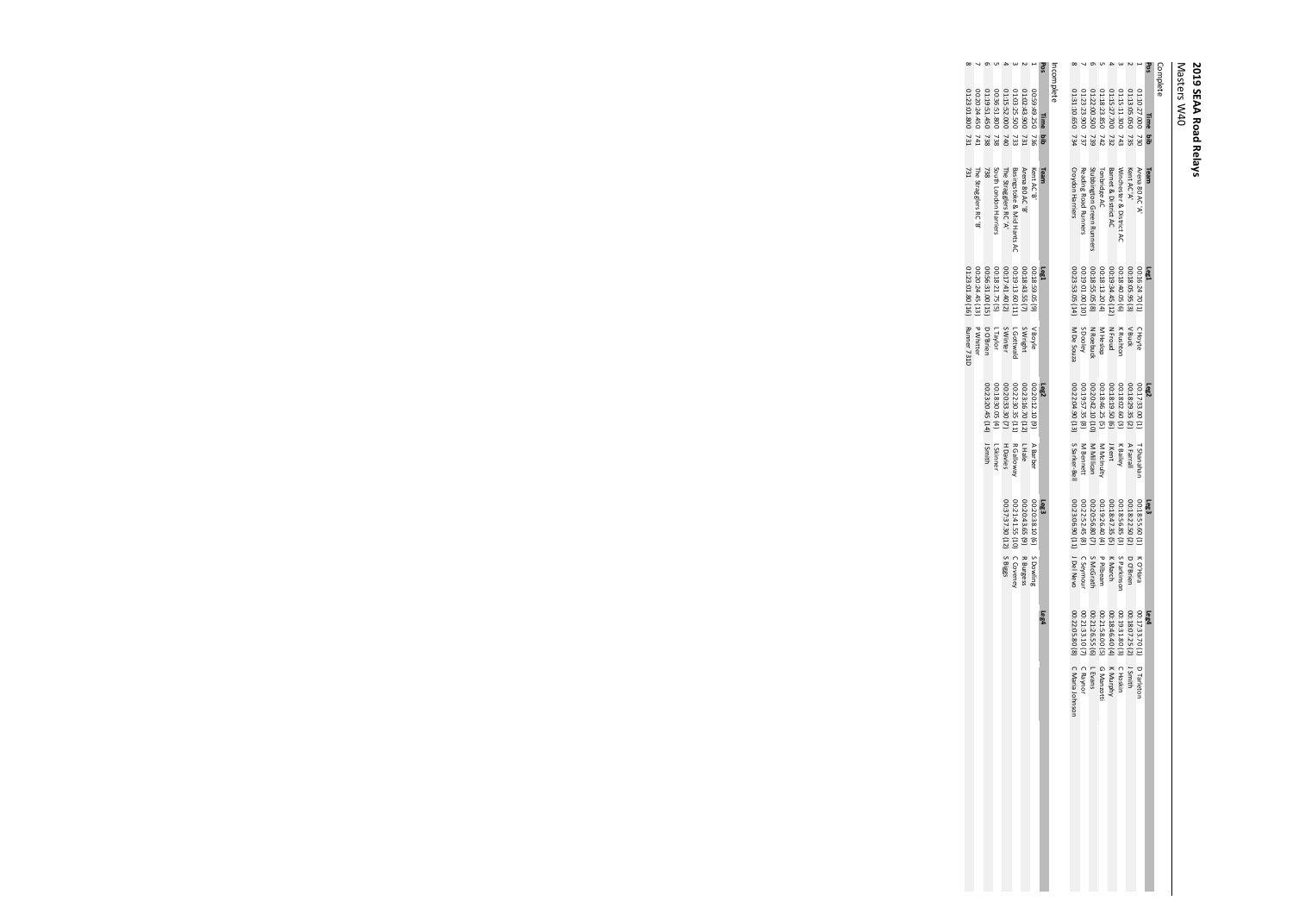Masters W40

| Complete |                     |                            |                   |                       |                  |                 |                             |                |                 |                 |  |
|----------|---------------------|----------------------------|-------------------|-----------------------|------------------|-----------------|-----------------------------|----------------|-----------------|-----------------|--|
| Pos      | Time<br>ă           | Team                       | Lasl              |                       | Leg <sub>2</sub> |                 | Leg <sub>3</sub>            |                | Leg4            |                 |  |
|          | 01:10:27.000<br>730 | Arena 80 AC'A'             | 00:16:24.70 (1    | сноуtе                | 00:17:33.00 (1)  | T Shanahai      | 00:18:55.60 (1              | K O'Hara       | 00:17:33.70 (1) | D Tarletor      |  |
|          | 02:13:05.050<br>735 | Kent AC 'A'                | 00:18:05.95(3)    | ' Buck                | 00:18:29.35 (2)  | AFarrall        | 00:18:22.50 (2)             | D O'Brien      | 00:18:07.25 (2) | Smith           |  |
|          | 01:15:11.300<br>743 | Winchester & District AC   | $(9)$ 50'0*8':00  | K Rushtor             | 00:18:02.60 (3)  | <b>K</b> Bailey | 00:18:56.85 (3)             | S Parkinsor    | 00:19:31.80 (3) | <b>CHOSkin</b>  |  |
|          | 01:15:27.700<br>732 | Barnet & District AC       | 00:19:34.45 (12)  | N Froud               | 00:18:19.50 (6)  | <b>Kent</b>     | 00:18:47.35 (5)             | <b>K March</b> | 00:18:46.40(4)  | K Murphy        |  |
|          | 01:18:23.850<br>742 | Tonbridge AC               | 00:18:13.20(4)    |                       | 00:18:46.25 (5)  | M McInulty      | 00:19:26.40(4)              | P Pilbeam      | 00:21:58.00 (5) | G Manzotti      |  |
|          | 11:22:00.500<br>739 | Stubbington Green Runners  | 00:18:55.05 (8)   | M Heslop<br>N Roebuck | 00:20:42.10 (10  | M Millican      | 00:20:56.80(7)              | S McGrath      | 00:21:26.55 (6) | LEvans          |  |
|          | 01:23:23.900<br>737 | Reading Road Runners       | 00:19:01.00 (10)  | S Dooley              | 00:19:57.35 (8)  | M Bennett       | 00:22:52.45 (8)             | C Seymou       | 00:21:33.10 (7) | C Raynor        |  |
|          | 01:31:10.650 734    | <b>Croydon Harriers</b>    | 00:23:53.05 (14)  | M De Souza            | 00:22:04.90 (13) | S Sarker-Bel    | 00:23:06.90 (11) J Del Nevo |                | 00:22:05.80 (8) | C Maria Johnson |  |
|          | Incomplete          |                            |                   |                       |                  |                 |                             |                |                 |                 |  |
| Pos      | Time<br>aid         | Team                       | Las1              |                       | Leg <sub>2</sub> |                 | Leg <sup>3</sup>            |                | Leg4            |                 |  |
|          | 05:29:49.250<br>736 | Kent AC 'B'                | $(6)$ SO 65:87:00 | / Boyle               | 00:20:12.10 (9)  | A Barber        | 00:20:38.10 (6)             | S Dowling      |                 |                 |  |
|          | 01:02:43.900<br>731 | Arena 80 AC 'B'            | 00:18:43.55(7)    | S Wright              | 00:23:16.70 (12) | <u>LHale</u>    | 00:20:43.65(9)              | R Burgess      |                 |                 |  |
|          | 01:03:25.500<br>733 | Basingstoke & Mid Hants AC | 00:19:13.60 (11)  | L Gottwal             | 00:22:30.35 (11) | R Galloway      | 00:21:41.55 (10)            | C Coveney      |                 |                 |  |
|          | 01:15:52.000<br>240 | The Stragglers RC'A'       | 00:17:41.40(2)    | <b>S Winter</b>       | 00:20:33.30 (7)  | H Davies        | 00:37:37.30 (12) SBiggs     |                |                 |                 |  |
|          | 00:36:51.800<br>738 | South London Harriers      | 00:18:21.75 (5)   | Liaylor               | 00:18:30.05 (4)  | L Skinner       |                             |                |                 |                 |  |
|          | 01:19:51.450<br>738 | 738                        | 00:56:31.00 (15)  | D O'Brien             | 00:23:20.45 (14) | J Smith         |                             |                |                 |                 |  |
|          | 06:20:24.450<br>141 | The Stragglers RC'B'       | 00:20:24.45 (13)  | <b>P Whitter</b>      |                  |                 |                             |                |                 |                 |  |
|          | 01:23:01.800 731    | 731                        | 01:23:01.80 (16)  | Runner 731D           |                  |                 |                             |                |                 |                 |  |
|          |                     |                            |                   |                       |                  |                 |                             |                |                 |                 |  |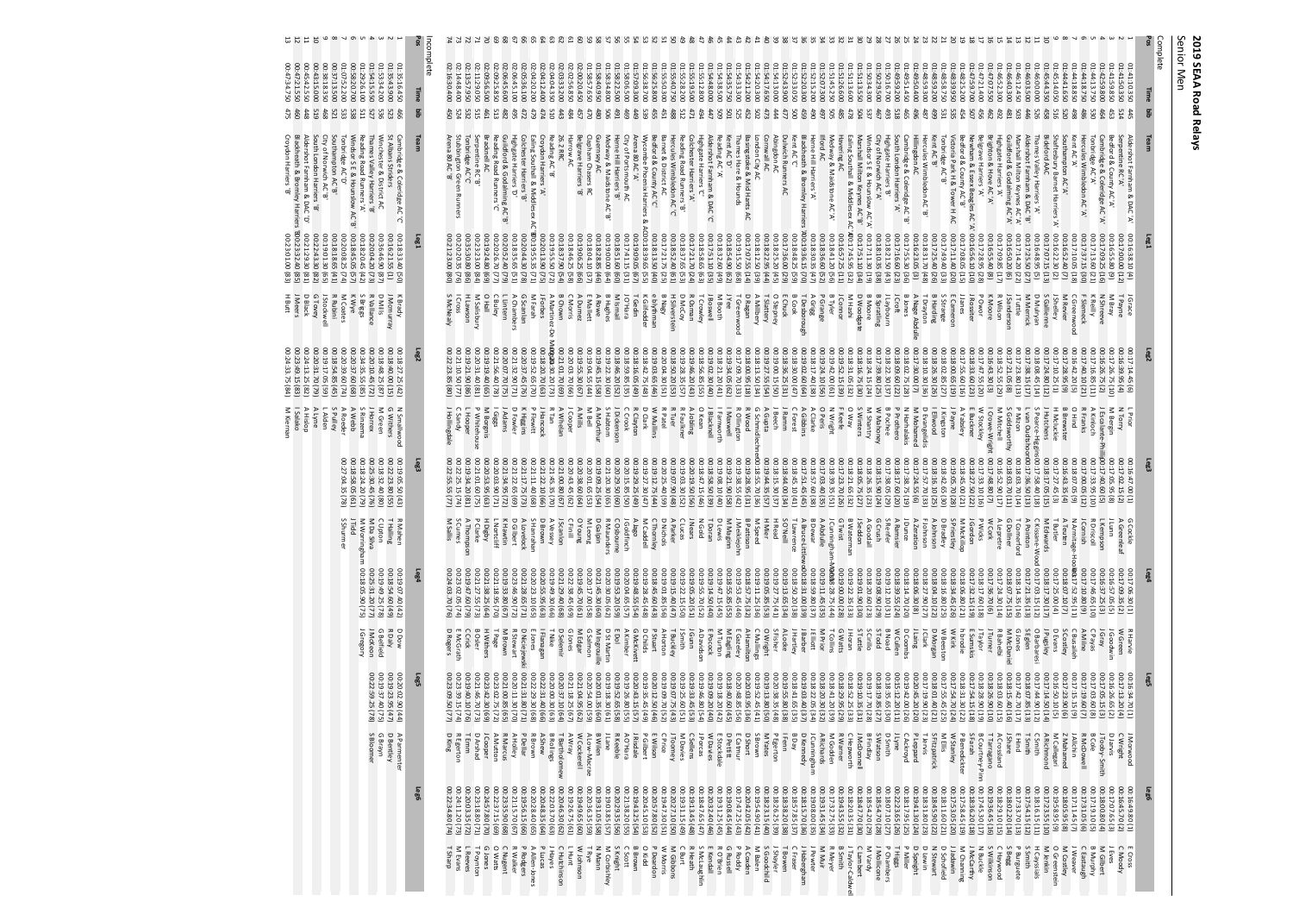2019 SEAA Road Relays<br>Senior Men Senior Men **2019 SEAA Road Relays**

13<br>13

00:47:34.750

46C<br>475

Croydon Harriers 'B'

00:23:01.00 (83)

H Butt

00:24:33.75 (84)

M Kiernan